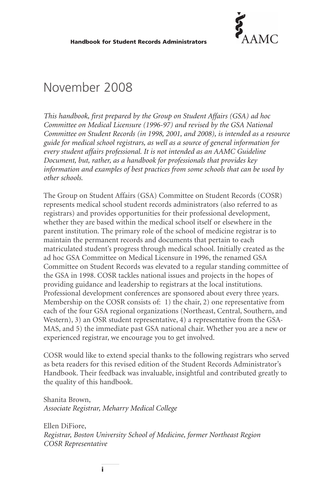

# November 2008

*This handbook, first prepared by the Group on Student Affairs (GSA) ad hoc Committee on Medical Licensure (1996-97) and revised by the GSA National Committee on Student Records (in 1998, 2001, and 2008), is intended as a resource guide for medical school registrars, as well as a source of general information for every student affairs professional. It is not intended as an AAMC Guideline Document, but, rather, as a handbook for professionals that provides key information and examples of best practices from some schools that can be used by other schools.*

The Group on Student Affairs (GSA) Committee on Student Records (COSR) represents medical school student records administrators (also referred to as registrars) and provides opportunities for their professional development, whether they are based within the medical school itself or elsewhere in the parent institution. The primary role of the school of medicine registrar is to maintain the permanent records and documents that pertain to each matriculated student's progress through medical school. Initially created as the ad hoc GSA Committee on Medical Licensure in 1996, the renamed GSA Committee on Student Records was elevated to a regular standing committee of the GSA in 1998. COSR tackles national issues and projects in the hopes of providing guidance and leadership to registrars at the local institutions. Professional development conferences are sponsored about every three years. Membership on the COSR consists of: 1) the chair, 2) one representative from each of the four GSA regional organizations (Northeast, Central, Southern, and Western), 3) an OSR student representative, 4) a representative from the GSA-MAS, and 5) the immediate past GSA national chair. Whether you are a new or experienced registrar, we encourage you to get involved.

COSR would like to extend special thanks to the following registrars who served as beta readers for this revised edition of the Student Records Administrator's Handbook. Their feedback was invaluable, insightful and contributed greatly to the quality of this handbook.

Shanita Brown, *Associate Registrar, Meharry Medical College*

Ellen DiFiore, *Registrar, Boston University School of Medicine, former Northeast Region COSR Representative*

**i**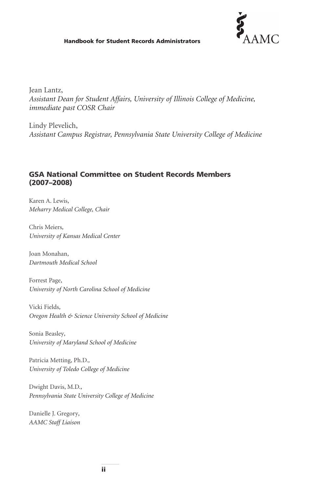#### **Handbook for Student Records Administrators**



Jean Lantz, *Assistant Dean for Student Affairs, University of Illinois College of Medicine, immediate past COSR Chair*

Lindy Plevelich, *Assistant Campus Registrar, Pennsylvania State University College of Medicine*

## **GSA National Committee on Student Records Members (2007–2008)**

Karen A. Lewis*, Meharry Medical College, Chair*

Chris Meiers*, University of Kansas Medical Center*

Joan Monahan*, Dartmouth Medical School*

Forrest Page*, University of North Carolina School of Medicine*

Vicki Fields*, Oregon Health & Science University School of Medicine*

Sonia Beasley*, University of Maryland School of Medicine*

Patricia Metting, Ph.D.*, University of Toledo College of Medicine*

Dwight Davis, M.D.*, Pennsylvania State University College of Medicine*

Danielle J. Gregory*, AAMC Staff Liaison*

**ii**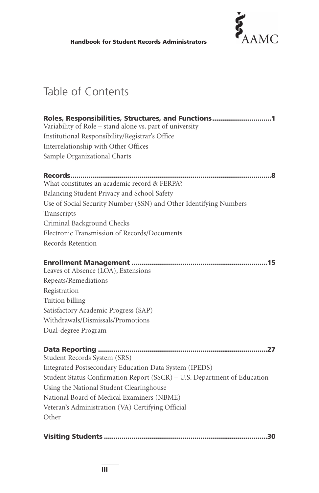

# Table of Contents

| Roles, Responsibilities, Structures, and Functions1                      |
|--------------------------------------------------------------------------|
| Variability of Role - stand alone vs. part of university                 |
| Institutional Responsibility/Registrar's Office                          |
| Interrelationship with Other Offices                                     |
| Sample Organizational Charts                                             |
|                                                                          |
| What constitutes an academic record & FERPA?                             |
| Balancing Student Privacy and School Safety                              |
| Use of Social Security Number (SSN) and Other Identifying Numbers        |
| Transcripts                                                              |
| Criminal Background Checks                                               |
| Electronic Transmission of Records/Documents                             |
| Records Retention                                                        |
| Leaves of Absence (LOA), Extensions                                      |
| Repeats/Remediations                                                     |
| Registration                                                             |
| Tuition billing                                                          |
| Satisfactory Academic Progress (SAP)                                     |
| Withdrawals/Dismissals/Promotions                                        |
| Dual-degree Program                                                      |
| Student Records System (SRS)                                             |
| Integrated Postsecondary Education Data System (IPEDS)                   |
| Student Status Confirmation Report (SSCR) - U.S. Department of Education |
| Using the National Student Clearinghouse                                 |
| National Board of Medical Examiners (NBME)                               |
| Veteran's Administration (VA) Certifying Official                        |
| Other                                                                    |
|                                                                          |

**Visiting Students ...................................................................................30**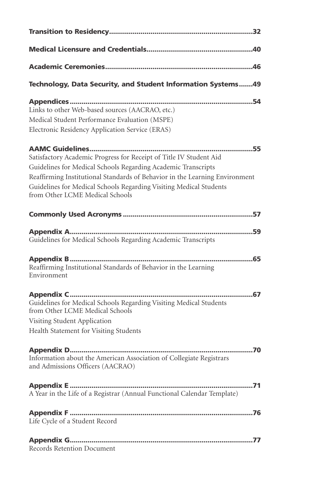| Technology, Data Security, and Student Information Systems49                                                                                                                                                                                                                                                                |
|-----------------------------------------------------------------------------------------------------------------------------------------------------------------------------------------------------------------------------------------------------------------------------------------------------------------------------|
| Links to other Web-based sources (AACRAO, etc.)<br>Medical Student Performance Evaluation (MSPE)<br>Electronic Residency Application Service (ERAS)                                                                                                                                                                         |
| Satisfactory Academic Progress for Receipt of Title IV Student Aid<br>Guidelines for Medical Schools Regarding Academic Transcripts<br>Reaffirming Institutional Standards of Behavior in the Learning Environment<br>Guidelines for Medical Schools Regarding Visiting Medical Students<br>from Other LCME Medical Schools |
|                                                                                                                                                                                                                                                                                                                             |
| Guidelines for Medical Schools Regarding Academic Transcripts                                                                                                                                                                                                                                                               |
| Reaffirming Institutional Standards of Behavior in the Learning<br>Environment                                                                                                                                                                                                                                              |
| Guidelines for Medical Schools Regarding Visiting Medical Students<br>from Other LCME Medical Schools<br>Visiting Student Application<br>Health Statement for Visiting Students                                                                                                                                             |
| Information about the American Association of Collegiate Registrars<br>and Admissions Officers (AACRAO)                                                                                                                                                                                                                     |
| A Year in the Life of a Registrar (Annual Functional Calendar Template)                                                                                                                                                                                                                                                     |
| Life Cycle of a Student Record                                                                                                                                                                                                                                                                                              |
| Records Retention Document                                                                                                                                                                                                                                                                                                  |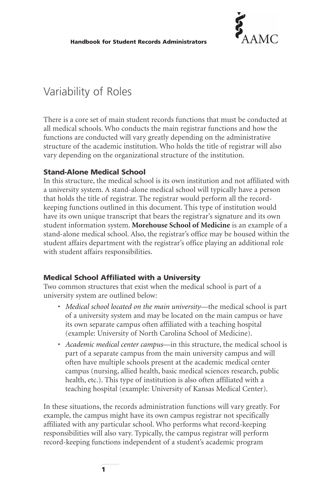

# Variability of Roles

There is a core set of main student records functions that must be conducted at all medical schools. Who conducts the main registrar functions and how the functions are conducted will vary greatly depending on the administrative structure of the academic institution. Who holds the title of registrar will also vary depending on the organizational structure of the institution.

## **Stand-Alone Medical School**

In this structure, the medical school is its own institution and not affiliated with a university system. A stand-alone medical school will typically have a person that holds the title of registrar. The registrar would perform all the recordkeeping functions outlined in this document. This type of institution would have its own unique transcript that bears the registrar's signature and its own student information system. **Morehouse School of Medicine** is an example of a stand-alone medical school. Also, the registrar's office may be housed within the student affairs department with the registrar's office playing an additional role with student affairs responsibilities.

## **Medical School Affiliated with a University**

Two common structures that exist when the medical school is part of a university system are outlined below:

- *Medical school located on the main university*—the medical school is part of a university system and may be located on the main campus or have its own separate campus often affiliated with a teaching hospital (example: University of North Carolina School of Medicine).
- *Academic medical center campus*—in this structure, the medical school is part of a separate campus from the main university campus and will often have multiple schools present at the academic medical center campus (nursing, allied health, basic medical sciences research, public health, etc.). This type of institution is also often affiliated with a teaching hospital (example: University of Kansas Medical Center).

In these situations, the records administration functions will vary greatly. For example, the campus might have its own campus registrar not specifically affiliated with any particular school. Who performs what record-keeping responsibilities will also vary. Typically, the campus registrar will perform record-keeping functions independent of a student's academic program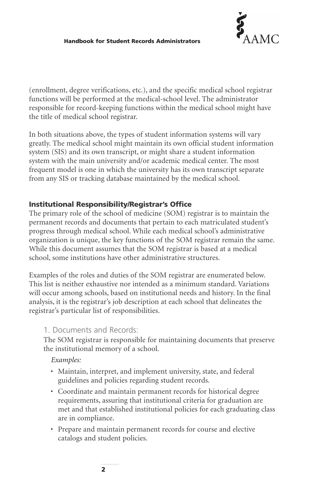

(enrollment, degree verifications, etc.), and the specific medical school registrar functions will be performed at the medical-school level. The administrator responsible for record-keeping functions within the medical school might have the title of medical school registrar.

In both situations above, the types of student information systems will vary greatly. The medical school might maintain its own official student information system (SIS) and its own transcript, or might share a student information system with the main university and/or academic medical center. The most frequent model is one in which the university has its own transcript separate from any SIS or tracking database maintained by the medical school.

# **Institutional Responsibility/Registrar's Office**

The primary role of the school of medicine (SOM) registrar is to maintain the permanent records and documents that pertain to each matriculated student's progress through medical school. While each medical school's administrative organization is unique, the key functions of the SOM registrar remain the same. While this document assumes that the SOM registrar is based at a medical school, some institutions have other administrative structures.

Examples of the roles and duties of the SOM registrar are enumerated below. This list is neither exhaustive nor intended as a minimum standard. Variations will occur among schools, based on institutional needs and history. In the final analysis, it is the registrar's job description at each school that delineates the registrar's particular list of responsibilities.

# 1. Documents and Records:

The SOM registrar is responsible for maintaining documents that preserve the institutional memory of a school.

*Examples:*

- Maintain, interpret, and implement university, state, and federal guidelines and policies regarding student records.
- Coordinate and maintain permanent records for historical degree requirements, assuring that institutional criteria for graduation are met and that established institutional policies for each graduating class are in compliance.
- Prepare and maintain permanent records for course and elective catalogs and student policies.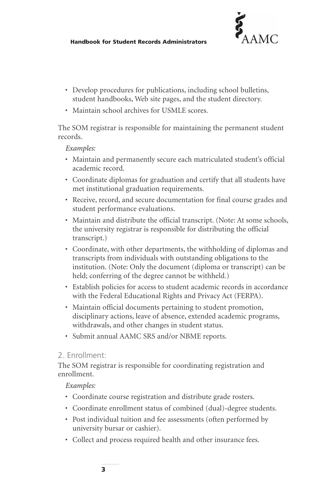

- Develop procedures for publications, including school bulletins, student handbooks, Web site pages, and the student directory.
- Maintain school archives for USMLE scores.

The SOM registrar is responsible for maintaining the permanent student records.

#### *Examples:*

- Maintain and permanently secure each matriculated student's official academic record.
- Coordinate diplomas for graduation and certify that all students have met institutional graduation requirements.
- Receive, record, and secure documentation for final course grades and student performance evaluations.
- Maintain and distribute the official transcript. (Note: At some schools, the university registrar is responsible for distributing the official transcript.)
- Coordinate, with other departments, the withholding of diplomas and transcripts from individuals with outstanding obligations to the institution. (Note: Only the document (diploma or transcript) can be held; conferring of the degree cannot be withheld.)
- Establish policies for access to student academic records in accordance with the Federal Educational Rights and Privacy Act (FERPA).
- Maintain official documents pertaining to student promotion, disciplinary actions, leave of absence, extended academic programs, withdrawals, and other changes in student status.
- Submit annual AAMC SRS and/or NBME reports.

## 2. Enrollment:

The SOM registrar is responsible for coordinating registration and enrollment.

## *Examples:*

- Coordinate course registration and distribute grade rosters.
- Coordinate enrollment status of combined (dual)-degree students.
- Post individual tuition and fee assessments (often performed by university bursar or cashier).
- Collect and process required health and other insurance fees.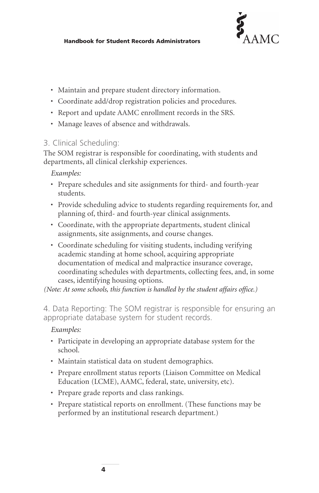

- Maintain and prepare student directory information.
- Coordinate add/drop registration policies and procedures.
- Report and update AAMC enrollment records in the SRS.
- Manage leaves of absence and withdrawals.

# 3. Clinical Scheduling:

The SOM registrar is responsible for coordinating, with students and departments, all clinical clerkship experiences.

*Examples:*

- Prepare schedules and site assignments for third- and fourth-year students.
- Provide scheduling advice to students regarding requirements for, and planning of, third- and fourth-year clinical assignments.
- Coordinate, with the appropriate departments, student clinical assignments, site assignments, and course changes.
- Coordinate scheduling for visiting students, including verifying academic standing at home school, acquiring appropriate documentation of medical and malpractice insurance coverage, coordinating schedules with departments, collecting fees, and, in some cases, identifying housing options.

*(Note: At some schools, this function is handled by the student affairs office.)*

4. Data Reporting: The SOM registrar is responsible for ensuring an appropriate database system for student records.

# *Examples:*

- Participate in developing an appropriate database system for the school.
- Maintain statistical data on student demographics.
- Prepare enrollment status reports (Liaison Committee on Medical Education (LCME), AAMC, federal, state, university, etc).
- Prepare grade reports and class rankings.
- Prepare statistical reports on enrollment. (These functions may be performed by an institutional research department.)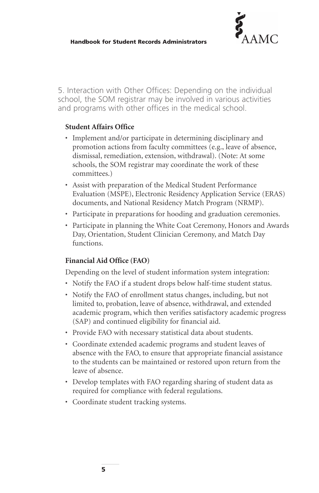

5. Interaction with Other Offices: Depending on the individual school, the SOM registrar may be involved in various activities and programs with other offices in the medical school.

## **Student Affairs Office**

- Implement and/or participate in determining disciplinary and promotion actions from faculty committees (e.g., leave of absence, dismissal, remediation, extension, withdrawal). (Note: At some schools, the SOM registrar may coordinate the work of these committees.)
- Assist with preparation of the Medical Student Performance Evaluation (MSPE), Electronic Residency Application Service (ERAS) documents, and National Residency Match Program (NRMP).
- Participate in preparations for hooding and graduation ceremonies.
- Participate in planning the White Coat Ceremony, Honors and Awards Day, Orientation, Student Clinician Ceremony, and Match Day functions.

# **Financial Aid Office (FAO)**

Depending on the level of student information system integration:

- Notify the FAO if a student drops below half-time student status.
- Notify the FAO of enrollment status changes, including, but not limited to, probation, leave of absence, withdrawal, and extended academic program, which then verifies satisfactory academic progress (SAP) and continued eligibility for financial aid.
- Provide FAO with necessary statistical data about students.
- Coordinate extended academic programs and student leaves of absence with the FAO, to ensure that appropriate financial assistance to the students can be maintained or restored upon return from the leave of absence.
- Develop templates with FAO regarding sharing of student data as required for compliance with federal regulations.
- Coordinate student tracking systems.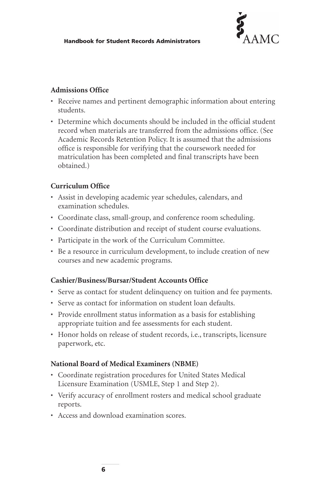

## **Admissions Office**

- Receive names and pertinent demographic information about entering students.
- Determine which documents should be included in the official student record when materials are transferred from the admissions office. (See Academic Records Retention Policy. It is assumed that the admissions office is responsible for verifying that the coursework needed for matriculation has been completed and final transcripts have been obtained.)

## **Curriculum Office**

- Assist in developing academic year schedules, calendars, and examination schedules.
- Coordinate class, small-group, and conference room scheduling.
- Coordinate distribution and receipt of student course evaluations.
- Participate in the work of the Curriculum Committee.
- Be a resource in curriculum development, to include creation of new courses and new academic programs.

## **Cashier/Business/Bursar/Student Accounts Office**

- Serve as contact for student delinquency on tuition and fee payments.
- Serve as contact for information on student loan defaults.
- Provide enrollment status information as a basis for establishing appropriate tuition and fee assessments for each student.
- Honor holds on release of student records, i.e., transcripts, licensure paperwork, etc.

## **National Board of Medical Examiners (NBME)**

- Coordinate registration procedures for United States Medical Licensure Examination (USMLE, Step 1 and Step 2).
- Verify accuracy of enrollment rosters and medical school graduate reports.
- Access and download examination scores.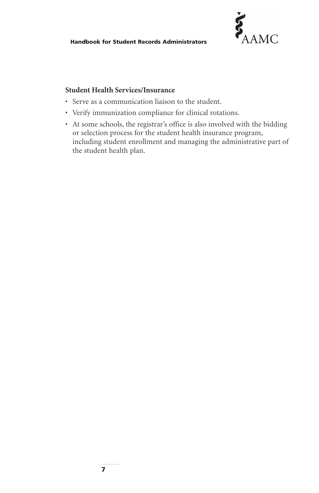**Handbook for Student Records Administrators**

# **Student Health Services/Insurance**

- Serve as a communication liaison to the student.
- Verify immunization compliance for clinical rotations.
- At some schools, the registrar's office is also involved with the bidding or selection process for the student health insurance program, including student enrollment and managing the administrative part of the student health plan.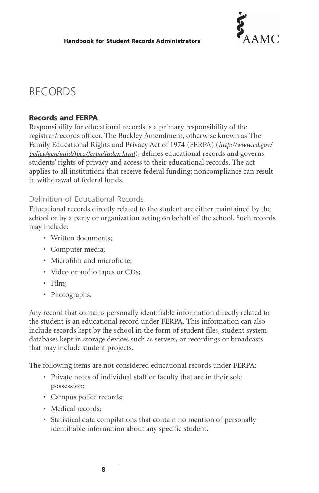

# RECORDS

# **Records and FERPA**

Responsibility for educational records is a primary responsibility of the registrar/records officer. The Buckley Amendment, otherwise known as The Family Educational Rights and Privacy Act of 1974 (FERPA) (*[http://www.ed.gov/](http://www.ed.gov/policy/gen/guid/fpco/ferpa/index.html) [policy/gen/guid/fpco/ferpa/index.html](http://www.ed.gov/policy/gen/guid/fpco/ferpa/index.html)*), defines educational records and governs students' rights of privacy and access to their educational records. The act applies to all institutions that receive federal funding; noncompliance can result in withdrawal of federal funds.

# Definition of Educational Records

Educational records directly related to the student are either maintained by the school or by a party or organization acting on behalf of the school. Such records may include:

- Written documents;
- Computer media;
- Microfilm and microfiche;
- Video or audio tapes or CDs;
- Film;
- Photographs.

Any record that contains personally identifiable information directly related to the student is an educational record under FERPA. This information can also include records kept by the school in the form of student files, student system databases kept in storage devices such as servers, or recordings or broadcasts that may include student projects.

The following items are not considered educational records under FERPA:

- Private notes of individual staff or faculty that are in their sole possession;
- Campus police records;
- Medical records;
- Statistical data compilations that contain no mention of personally identifiable information about any specific student.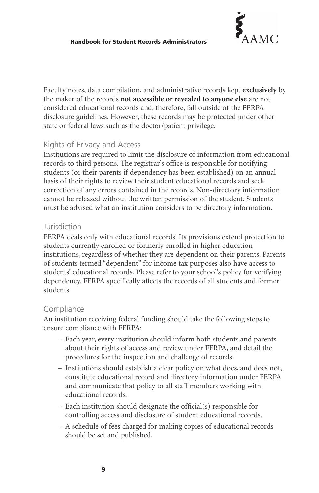

Faculty notes, data compilation, and administrative records kept **exclusively** by the maker of the records **not accessible or revealed to anyone else** are not considered educational records and, therefore, fall outside of the FERPA disclosure guidelines. However, these records may be protected under other state or federal laws such as the doctor/patient privilege.

# Rights of Privacy and Access

Institutions are required to limit the disclosure of information from educational records to third persons. The registrar's office is responsible for notifying students (or their parents if dependency has been established) on an annual basis of their rights to review their student educational records and seek correction of any errors contained in the records. Non-directory information cannot be released without the written permission of the student. Students must be advised what an institution considers to be directory information.

## Jurisdiction

FERPA deals only with educational records. Its provisions extend protection to students currently enrolled or formerly enrolled in higher education institutions, regardless of whether they are dependent on their parents. Parents of students termed "dependent" for income tax purposes also have access to students' educational records. Please refer to your school's policy for verifying dependency. FERPA specifically affects the records of all students and former students.

# Compliance

An institution receiving federal funding should take the following steps to ensure compliance with FERPA:

- Each year, every institution should inform both students and parents about their rights of access and review under FERPA, and detail the procedures for the inspection and challenge of records.
- Institutions should establish a clear policy on what does, and does not, constitute educational record and directory information under FERPA and communicate that policy to all staff members working with educational records.
- Each institution should designate the official(s) responsible for controlling access and disclosure of student educational records.
- A schedule of fees charged for making copies of educational records should be set and published.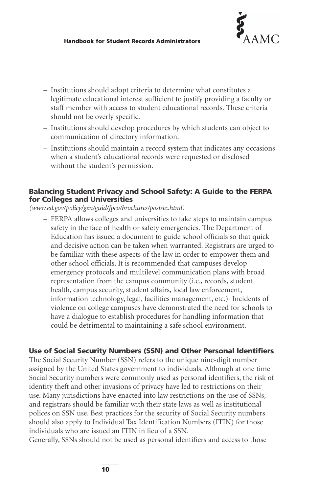

- Institutions should adopt criteria to determine what constitutes a legitimate educational interest sufficient to justify providing a faculty or staff member with access to student educational records. These criteria should not be overly specific.
- Institutions should develop procedures by which students can object to communication of directory information.
- Institutions should maintain a record system that indicates any occasions when a student's educational records were requested or disclosed without the student's permission.

## **Balancing Student Privacy and School Safety: A Guide to the FERPA for Colleges and Universities**

*[\(www.ed.gov/policy/gen/guid/fpco/brochures/postsec.html\)](http://www.ed.gov/policy/gen/guid/fpco/brochures/postsec.html)*

– FERPA allows colleges and universities to take steps to maintain campus safety in the face of health or safety emergencies. The Department of Education has issued a document to guide school officials so that quick and decisive action can be taken when warranted. Registrars are urged to be familiar with these aspects of the law in order to empower them and other school officials. It is recommended that campuses develop emergency protocols and multilevel communication plans with broad representation from the campus community (i.e., records, student health, campus security, student affairs, local law enforcement, information technology, legal, facilities management, etc.) Incidents of violence on college campuses have demonstrated the need for schools to have a dialogue to establish procedures for handling information that could be detrimental to maintaining a safe school environment.

## **Use of Social Security Numbers (SSN) and Other Personal Identifiers**

The Social Security Number (SSN) refers to the unique nine-digit number assigned by the United States government to individuals. Although at one time Social Security numbers were commonly used as personal identifiers, the risk of identity theft and other invasions of privacy have led to restrictions on their use. Many jurisdictions have enacted into law restrictions on the use of SSNs, and registrars should be familiar with their state laws as well as institutional polices on SSN use. Best practices for the security of Social Security numbers should also apply to Individual Tax Identification Numbers (ITIN) for those individuals who are issued an ITIN in lieu of a SSN.

Generally, SSNs should not be used as personal identifiers and access to those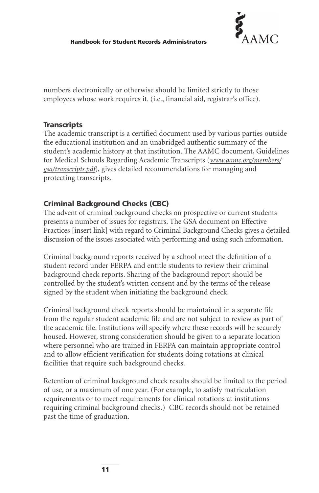

numbers electronically or otherwise should be limited strictly to those employees whose work requires it. (i.e., financial aid, registrar's office).

# **Transcripts**

The academic transcript is a certified document used by various parties outside the educational institution and an unabridged authentic summary of the student's academic history at that institution. The AAMC document, Guidelines for Medical Schools Regarding Academic Transcripts (*[www.aamc.org/members/](http://www.aamc.org/members/gsa/transcripts.pdf) [gsa/transcripts.pdf](http://www.aamc.org/members/gsa/transcripts.pdf)*), gives detailed recommendations for managing and protecting transcripts.

# **Criminal Background Checks (CBC)**

The advent of criminal background checks on prospective or current students presents a number of issues for registrars. The GSA document on Effective Practices [insert link] with regard to Criminal Background Checks gives a detailed discussion of the issues associated with performing and using such information.

Criminal background reports received by a school meet the definition of a student record under FERPA and entitle students to review their criminal background check reports. Sharing of the background report should be controlled by the student's written consent and by the terms of the release signed by the student when initiating the background check.

Criminal background check reports should be maintained in a separate file from the regular student academic file and are not subject to review as part of the academic file. Institutions will specify where these records will be securely housed. However, strong consideration should be given to a separate location where personnel who are trained in FERPA can maintain appropriate control and to allow efficient verification for students doing rotations at clinical facilities that require such background checks.

Retention of criminal background check results should be limited to the period of use, or a maximum of one year. (For example, to satisfy matriculation requirements or to meet requirements for clinical rotations at institutions requiring criminal background checks.) CBC records should not be retained past the time of graduation.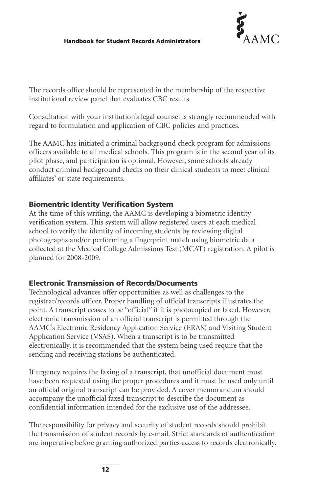

The records office should be represented in the membership of the respective institutional review panel that evaluates CBC results.

Consultation with your institution's legal counsel is strongly recommended with regard to formulation and application of CBC policies and practices.

The AAMC has initiated a criminal background check program for admissions officers available to all medical schools. This program is in the second year of its pilot phase, and participation is optional. However, some schools already conduct criminal background checks on their clinical students to meet clinical affiliates' or state requirements.

# **Biomentric Identity Verification System**

At the time of this writing, the AAMC is developing a biometric identity verification system. This system will allow registered users at each medical school to verify the identity of incoming students by reviewing digital photographs and/or performing a fingerprint match using biometric data collected at the Medical College Admissions Test (MCAT) registration. A pilot is planned for 2008-2009.

# **Electronic Transmission of Records/Documents**

Technological advances offer opportunities as well as challenges to the registrar/records officer. Proper handling of official transcripts illustrates the point. A transcript ceases to be "official" if it is photocopied or faxed. However, electronic transmission of an official transcript is permitted through the AAMC's Electronic Residency Application Service (ERAS) and Visiting Student Application Service (VSAS). When a transcript is to be transmitted electronically, it is recommended that the system being used require that the sending and receiving stations be authenticated.

If urgency requires the faxing of a transcript, that unofficial document must have been requested using the proper procedures and it must be used only until an official original transcript can be provided. A cover memorandum should accompany the unofficial faxed transcript to describe the document as confidential information intended for the exclusive use of the addressee.

The responsibility for privacy and security of student records should prohibit the transmission of student records by e-mail. Strict standards of authentication are imperative before granting authorized parties access to records electronically.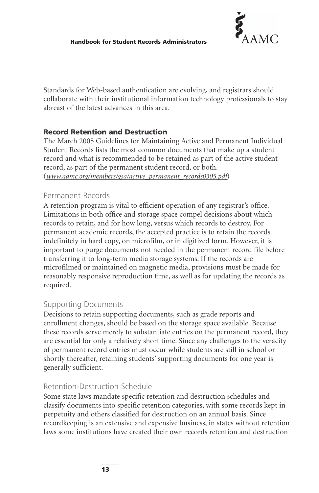

Standards for Web-based authentication are evolving, and registrars should collaborate with their institutional information technology professionals to stay abreast of the latest advances in this area.

# **Record Retention and Destruction**

The March 2005 Guidelines for Maintaining Active and Permanent Individual Student Records lists the most common documents that make up a student record and what is recommended to be retained as part of the active student record, as part of the permanent student record, or both. (*[www.aamc.org/members/gsa/active\\_permanent\\_records0305.pdf](http://www.aamc.org/members/gsa/active_permanent_records0305.pdf)*)

# Permanent Records

A retention program is vital to efficient operation of any registrar's office. Limitations in both office and storage space compel decisions about which records to retain, and for how long, versus which records to destroy. For permanent academic records, the accepted practice is to retain the records indefinitely in hard copy, on microfilm, or in digitized form. However, it is important to purge documents not needed in the permanent record file before transferring it to long-term media storage systems. If the records are microfilmed or maintained on magnetic media, provisions must be made for reasonably responsive reproduction time, as well as for updating the records as required.

# Supporting Documents

Decisions to retain supporting documents, such as grade reports and enrollment changes, should be based on the storage space available. Because these records serve merely to substantiate entries on the permanent record, they are essential for only a relatively short time. Since any challenges to the veracity of permanent record entries must occur while students are still in school or shortly thereafter, retaining students' supporting documents for one year is generally sufficient.

# Retention-Destruction Schedule

Some state laws mandate specific retention and destruction schedules and classify documents into specific retention categories, with some records kept in perpetuity and others classified for destruction on an annual basis. Since recordkeeping is an extensive and expensive business, in states without retention laws some institutions have created their own records retention and destruction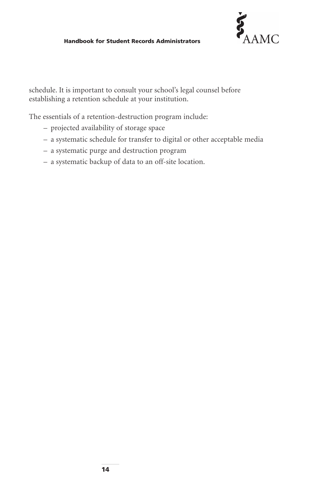## **Handbook for Student Records Administrators**



schedule. It is important to consult your school's legal counsel before establishing a retention schedule at your institution.

The essentials of a retention-destruction program include:

- projected availability of storage space
- a systematic schedule for transfer to digital or other acceptable media
- a systematic purge and destruction program
- a systematic backup of data to an off-site location.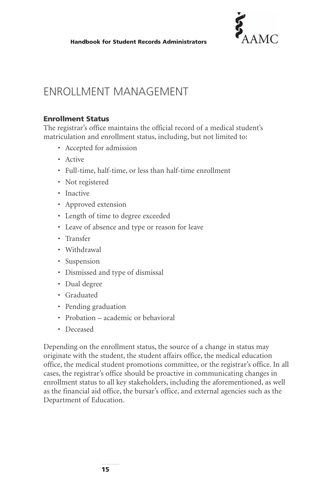

# ENROLLMENT MANAGEMENT

## **Enrollment Status**

The registrar's office maintains the official record of a medical student's matriculation and enrollment status, including, but not limited to:

- Accepted for admission
- Active
- Full-time, half-time, or less than half-time enrollment
- Not registered
- Inactive
- Approved extension
- Length of time to degree exceeded
- Leave of absence and type or reason for leave
- Transfer
- Withdrawal
- Suspension
- Dismissed and type of dismissal
- Dual degree
- Graduated
- Pending graduation
- Probation academic or behavioral
- Deceased

Depending on the enrollment status, the source of a change in status may originate with the student, the student affairs office, the medical education office, the medical student promotions committee, or the registrar's office. In all cases, the registrar's office should be proactive in communicating changes in enrollment status to all key stakeholders, including the aforementioned, as well as the financial aid office, the bursar's office, and external agencies such as the Department of Education.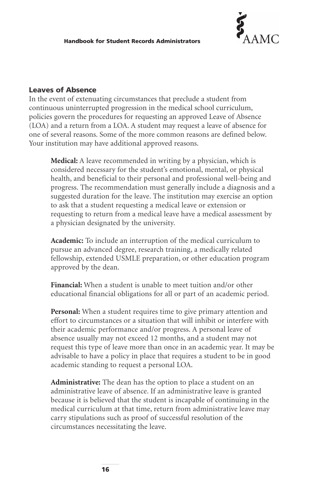

## **Leaves of Absence**

In the event of extenuating circumstances that preclude a student from continuous uninterrupted progression in the medical school curriculum, policies govern the procedures for requesting an approved Leave of Absence (LOA) and a return from a LOA. A student may request a leave of absence for one of several reasons. Some of the more common reasons are defined below. Your institution may have additional approved reasons.

**Medical:** A leave recommended in writing by a physician, which is considered necessary for the student's emotional, mental, or physical health, and beneficial to their personal and professional well-being and progress. The recommendation must generally include a diagnosis and a suggested duration for the leave. The institution may exercise an option to ask that a student requesting a medical leave or extension or requesting to return from a medical leave have a medical assessment by a physician designated by the university.

**Academic:** To include an interruption of the medical curriculum to pursue an advanced degree, research training, a medically related fellowship, extended USMLE preparation, or other education program approved by the dean.

**Financial:** When a student is unable to meet tuition and/or other educational financial obligations for all or part of an academic period.

**Personal:** When a student requires time to give primary attention and effort to circumstances or a situation that will inhibit or interfere with their academic performance and/or progress. A personal leave of absence usually may not exceed 12 months, and a student may not request this type of leave more than once in an academic year. It may be advisable to have a policy in place that requires a student to be in good academic standing to request a personal LOA.

**Administrative:** The dean has the option to place a student on an administrative leave of absence. If an administrative leave is granted because it is believed that the student is incapable of continuing in the medical curriculum at that time, return from administrative leave may carry stipulations such as proof of successful resolution of the circumstances necessitating the leave.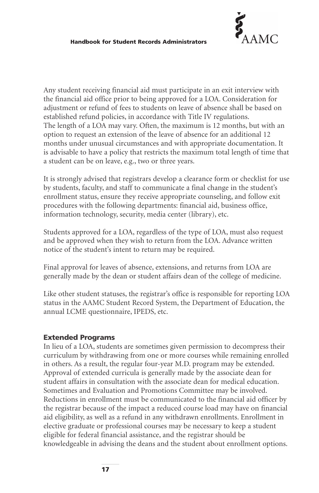

Any student receiving financial aid must participate in an exit interview with the financial aid office prior to being approved for a LOA. Consideration for adjustment or refund of fees to students on leave of absence shall be based on established refund policies, in accordance with Title IV regulations. The length of a LOA may vary. Often, the maximum is 12 months, but with an option to request an extension of the leave of absence for an additional 12 months under unusual circumstances and with appropriate documentation. It is advisable to have a policy that restricts the maximum total length of time that a student can be on leave, e.g., two or three years.

It is strongly advised that registrars develop a clearance form or checklist for use by students, faculty, and staff to communicate a final change in the student's enrollment status, ensure they receive appropriate counseling, and follow exit procedures with the following departments: financial aid, business office, information technology, security, media center (library), etc.

Students approved for a LOA, regardless of the type of LOA, must also request and be approved when they wish to return from the LOA. Advance written notice of the student's intent to return may be required.

Final approval for leaves of absence, extensions, and returns from LOA are generally made by the dean or student affairs dean of the college of medicine.

Like other student statuses, the registrar's office is responsible for reporting LOA status in the AAMC Student Record System, the Department of Education, the annual LCME questionnaire, IPEDS, etc.

# **Extended Programs**

In lieu of a LOA, students are sometimes given permission to decompress their curriculum by withdrawing from one or more courses while remaining enrolled in others. As a result, the regular four-year M.D. program may be extended. Approval of extended curricula is generally made by the associate dean for student affairs in consultation with the associate dean for medical education. Sometimes and Evaluation and Promotions Committee may be involved. Reductions in enrollment must be communicated to the financial aid officer by the registrar because of the impact a reduced course load may have on financial aid eligibility, as well as a refund in any withdrawn enrollments. Enrollment in elective graduate or professional courses may be necessary to keep a student eligible for federal financial assistance, and the registrar should be knowledgeable in advising the deans and the student about enrollment options.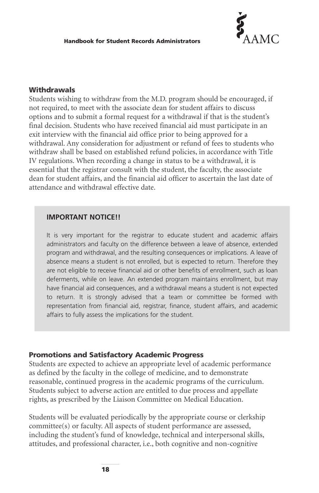

# **Withdrawals**

Students wishing to withdraw from the M.D. program should be encouraged, if not required, to meet with the associate dean for student affairs to discuss options and to submit a formal request for a withdrawal if that is the student's final decision. Students who have received financial aid must participate in an exit interview with the financial aid office prior to being approved for a withdrawal. Any consideration for adjustment or refund of fees to students who withdraw shall be based on established refund policies, in accordance with Title IV regulations. When recording a change in status to be a withdrawal, it is essential that the registrar consult with the student, the faculty, the associate dean for student affairs, and the financial aid officer to ascertain the last date of attendance and withdrawal effective date.

## **IMPORTANT NOTICE!!**

It is very important for the registrar to educate student and academic affairs administrators and faculty on the difference between a leave of absence, extended program and withdrawal, and the resulting consequences or implications. A leave of absence means a student is not enrolled, but is expected to return. Therefore they are not eligible to receive financial aid or other benefits of enrollment, such as loan deferments, while on leave. An extended program maintains enrollment, but may have financial aid consequences, and a withdrawal means a student is not expected to return. It is strongly advised that a team or committee be formed with representation from financial aid, registrar, finance, student affairs, and academic affairs to fully assess the implications for the student.

#### **Promotions and Satisfactory Academic Progress**

Students are expected to achieve an appropriate level of academic performance as defined by the faculty in the college of medicine, and to demonstrate reasonable, continued progress in the academic programs of the curriculum. Students subject to adverse action are entitled to due process and appellate rights, as prescribed by the Liaison Committee on Medical Education.

Students will be evaluated periodically by the appropriate course or clerkship committee(s) or faculty. All aspects of student performance are assessed, including the student's fund of knowledge, technical and interpersonal skills, attitudes, and professional character, i.e., both cognitive and non-cognitive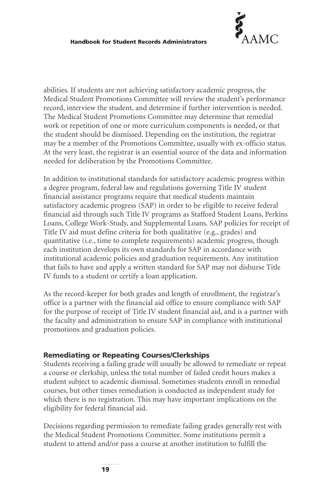

abilities. If students are not achieving satisfactory academic progress, the Medical Student Promotions Committee will review the student's performance record, interview the student, and determine if further intervention is needed. The Medical Student Promotions Committee may determine that remedial work or repetition of one or more curriculum components is needed, or that the student should be dismissed. Depending on the institution, the registrar may be a member of the Promotions Committee, usually with ex-officio status. At the very least, the registrar is an essential source of the data and information needed for deliberation by the Promotions Committee.

In addition to institutional standards for satisfactory academic progress within a degree program, federal law and regulations governing Title IV student financial assistance programs require that medical students maintain satisfactory academic progress (SAP) in order to be eligible to receive federal financial aid through such Title IV programs as Stafford Student Loans, Perkins Loans, College Work-Study, and Supplemental Loans. SAP policies for receipt of Title IV aid must define criteria for both qualitative (e.g., grades) and quantitative (i.e., time to complete requirements) academic progress, though each institution develops its own standards for SAP in accordance with institutional academic policies and graduation requirements. Any institution that fails to have and apply a written standard for SAP may not disburse Title IV funds to a student or certify a loan application.

As the record-keeper for both grades and length of enrollment, the registrar's office is a partner with the financial aid office to ensure compliance with SAP for the purpose of receipt of Title IV student financial aid, and is a partner with the faculty and administration to ensure SAP in compliance with institutional promotions and graduation policies.

## **Remediating or Repeating Courses/Clerkships**

Students receiving a failing grade will usually be allowed to remediate or repeat a course or clerkship, unless the total number of failed credit hours makes a student subject to academic dismissal. Sometimes students enroll in remedial courses, but other times remediation is conducted as independent study for which there is no registration. This may have important implications on the eligibility for federal financial aid.

Decisions regarding permission to remediate failing grades generally rest with the Medical Student Promotions Committee. Some institutions permit a student to attend and/or pass a course at another institution to fulfill the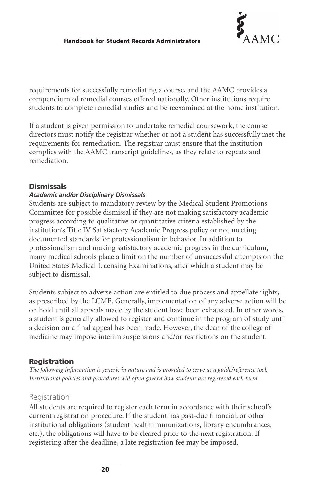

requirements for successfully remediating a course, and the AAMC provides a compendium of remedial courses offered nationally. Other institutions require students to complete remedial studies and be reexamined at the home institution.

If a student is given permission to undertake remedial coursework, the course directors must notify the registrar whether or not a student has successfully met the requirements for remediation. The registrar must ensure that the institution complies with the AAMC transcript guidelines, as they relate to repeats and remediation.

## **Dismissals**

## *Academic and/or Disciplinary Dismissals*

Students are subject to mandatory review by the Medical Student Promotions Committee for possible dismissal if they are not making satisfactory academic progress according to qualitative or quantitative criteria established by the institution's Title IV Satisfactory Academic Progress policy or not meeting documented standards for professionalism in behavior. In addition to professionalism and making satisfactory academic progress in the curriculum, many medical schools place a limit on the number of unsuccessful attempts on the United States Medical Licensing Examinations, after which a student may be subject to dismissal.

Students subject to adverse action are entitled to due process and appellate rights, as prescribed by the LCME. Generally, implementation of any adverse action will be on hold until all appeals made by the student have been exhausted. In other words, a student is generally allowed to register and continue in the program of study until a decision on a final appeal has been made. However, the dean of the college of medicine may impose interim suspensions and/or restrictions on the student.

## **Registration**

*The following information is generic in nature and is provided to serve as a guide/reference tool. Institutional policies and procedures will often govern how students are registered each term.*

# Registration

All students are required to register each term in accordance with their school's current registration procedure. If the student has past-due financial, or other institutional obligations (student health immunizations, library encumbrances, etc.), the obligations will have to be cleared prior to the next registration. If registering after the deadline, a late registration fee may be imposed.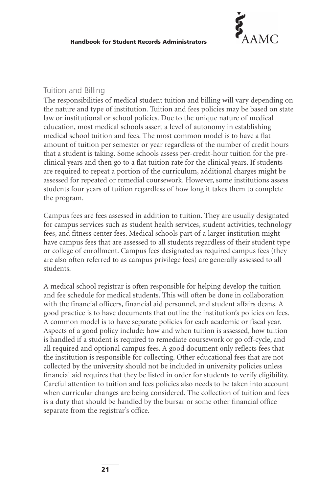

## Tuition and Billing

The responsibilities of medical student tuition and billing will vary depending on the nature and type of institution. Tuition and fees policies may be based on state law or institutional or school policies. Due to the unique nature of medical education, most medical schools assert a level of autonomy in establishing medical school tuition and fees. The most common model is to have a flat amount of tuition per semester or year regardless of the number of credit hours that a student is taking. Some schools assess per-credit-hour tuition for the preclinical years and then go to a flat tuition rate for the clinical years. If students are required to repeat a portion of the curriculum, additional charges might be assessed for repeated or remedial coursework. However, some institutions assess students four years of tuition regardless of how long it takes them to complete the program.

Campus fees are fees assessed in addition to tuition. They are usually designated for campus services such as student health services, student activities, technology fees, and fitness center fees. Medical schools part of a larger institution might have campus fees that are assessed to all students regardless of their student type or college of enrollment. Campus fees designated as required campus fees (they are also often referred to as campus privilege fees) are generally assessed to all students.

A medical school registrar is often responsible for helping develop the tuition and fee schedule for medical students. This will often be done in collaboration with the financial officers, financial aid personnel, and student affairs deans. A good practice is to have documents that outline the institution's policies on fees. A common model is to have separate policies for each academic or fiscal year. Aspects of a good policy include: how and when tuition is assessed, how tuition is handled if a student is required to remediate coursework or go off-cycle, and all required and optional campus fees. A good document only reflects fees that the institution is responsible for collecting. Other educational fees that are not collected by the university should not be included in university policies unless financial aid requires that they be listed in order for students to verify eligibility. Careful attention to tuition and fees policies also needs to be taken into account when curricular changes are being considered. The collection of tuition and fees is a duty that should be handled by the bursar or some other financial office separate from the registrar's office.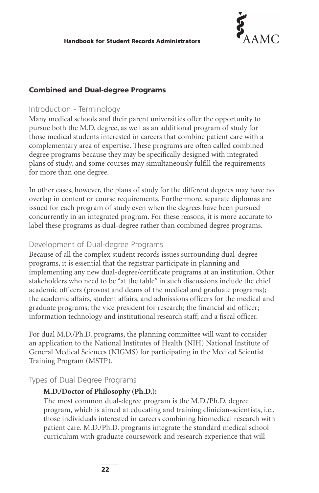

## **Combined and Dual-degree Programs**

# Introduction - Terminology

Many medical schools and their parent universities offer the opportunity to pursue both the M.D. degree, as well as an additional program of study for those medical students interested in careers that combine patient care with a complementary area of expertise. These programs are often called combined degree programs because they may be specifically designed with integrated plans of study, and some courses may simultaneously fulfill the requirements for more than one degree.

In other cases, however, the plans of study for the different degrees may have no overlap in content or course requirements. Furthermore, separate diplomas are issued for each program of study even when the degrees have been pursued concurrently in an integrated program. For these reasons, it is more accurate to label these programs as dual-degree rather than combined degree programs.

## Development of Dual-degree Programs

Because of all the complex student records issues surrounding dual-degree programs, it is essential that the registrar participate in planning and implementing any new dual-degree/certificate programs at an institution. Other stakeholders who need to be "at the table" in such discussions include the chief academic officers (provost and deans of the medical and graduate programs); the academic affairs, student affairs, and admissions officers for the medical and graduate programs; the vice president for research; the financial aid officer; information technology and institutional research staff; and a fiscal officer.

For dual M.D./Ph.D. programs, the planning committee will want to consider an application to the National Institutes of Health (NIH) National Institute of General Medical Sciences (NIGMS) for participating in the Medical Scientist Training Program (MSTP).

Types of Dual Degree Programs

## **M.D./Doctor of Philosophy (Ph.D.):**

The most common dual-degree program is the M.D./Ph.D. degree program, which is aimed at educating and training clinician-scientists, i.e., those individuals interested in careers combining biomedical research with patient care. M.D./Ph.D. programs integrate the standard medical school curriculum with graduate coursework and research experience that will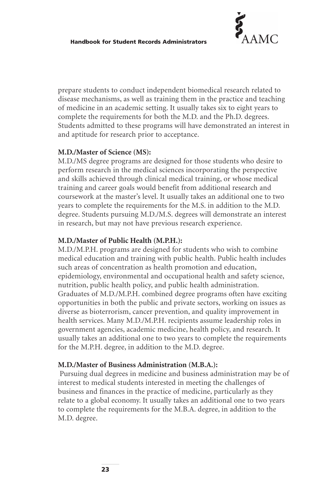

prepare students to conduct independent biomedical research related to disease mechanisms, as well as training them in the practice and teaching of medicine in an academic setting. It usually takes six to eight years to complete the requirements for both the M.D. and the Ph.D. degrees. Students admitted to these programs will have demonstrated an interest in and aptitude for research prior to acceptance.

## **M.D./Master of Science (MS):**

M.D./MS degree programs are designed for those students who desire to perform research in the medical sciences incorporating the perspective and skills achieved through clinical medical training, or whose medical training and career goals would benefit from additional research and coursework at the master's level. It usually takes an additional one to two years to complete the requirements for the M.S. in addition to the M.D. degree. Students pursuing M.D./M.S. degrees will demonstrate an interest in research, but may not have previous research experience.

## **M.D./Master of Public Health (M.P.H.):**

M.D./M.P.H. programs are designed for students who wish to combine medical education and training with public health. Public health includes such areas of concentration as health promotion and education, epidemiology, environmental and occupational health and safety science, nutrition, public health policy, and public health administration. Graduates of M.D./M.P.H. combined degree programs often have exciting opportunities in both the public and private sectors, working on issues as diverse as bioterrorism, cancer prevention, and quality improvement in health services. Many M.D./M.P.H. recipients assume leadership roles in government agencies, academic medicine, health policy, and research. It usually takes an additional one to two years to complete the requirements for the M.P.H. degree, in addition to the M.D. degree.

## **M.D./Master of Business Administration (M.B.A.):**

Pursuing dual degrees in medicine and business administration may be of interest to medical students interested in meeting the challenges of business and finances in the practice of medicine, particularly as they relate to a global economy. It usually takes an additional one to two years to complete the requirements for the M.B.A. degree, in addition to the M.D. degree.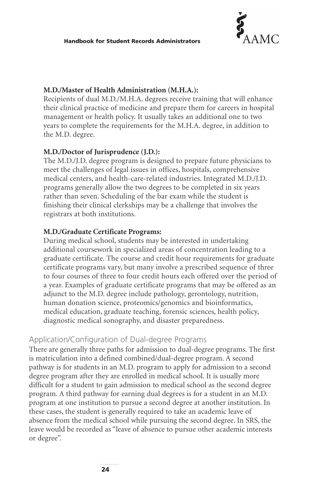

## **M.D./Master of Health Administration (M.H.A.):**

Recipients of dual M.D./M.H.A. degrees receive training that will enhance their clinical practice of medicine and prepare them for careers in hospital management or health policy. It usually takes an additional one to two years to complete the requirements for the M.H.A. degree, in addition to the M.D. degree.

## **M.D./Doctor of Jurisprudence (J.D.):**

The M.D./J.D. degree program is designed to prepare future physicians to meet the challenges of legal issues in offices, hospitals, comprehensive medical centers, and health-care-related industries. Integrated M.D./J.D. programs generally allow the two degrees to be completed in six years rather than seven. Scheduling of the bar exam while the student is finishing their clinical clerkships may be a challenge that involves the registrars at both institutions.

#### **M.D./Graduate Certificate Programs:**

During medical school, students may be interested in undertaking additional coursework in specialized areas of concentration leading to a graduate certificate. The course and credit hour requirements for graduate certificate programs vary, but many involve a prescribed sequence of three to four courses of three to four credit hours each offered over the period of a year. Examples of graduate certificate programs that may be offered as an adjunct to the M.D. degree include pathology, gerontology, nutrition, human donation science, proteomics/genomics and bioinformatics, medical education, graduate teaching, forensic sciences, health policy, diagnostic medical sonography, and disaster preparedness.

# Application/Configuration of Dual-degree Programs

There are generally three paths for admission to dual-degree programs. The first is matriculation into a defined combined/dual-degree program. A second pathway is for students in an M.D. program to apply for admission to a second degree program after they are enrolled in medical school. It is usually more difficult for a student to gain admission to medical school as the second degree program. A third pathway for earning dual degrees is for a student in an M.D. program at one institution to pursue a second degree at another institution. In these cases, the student is generally required to take an academic leave of absence from the medical school while pursuing the second degree. In SRS, the leave would be recorded as "leave of absence to pursue other academic interests or degree".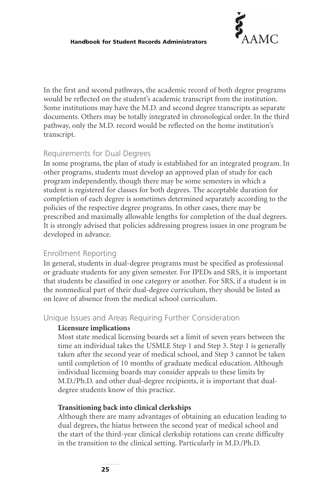

In the first and second pathways, the academic record of both degree programs would be reflected on the student's academic transcript from the institution. Some institutions may have the M.D. and second degree transcripts as separate documents. Others may be totally integrated in chronological order. In the third pathway, only the M.D. record would be reflected on the home institution's transcript.

# Requirements for Dual Degrees

In some programs, the plan of study is established for an integrated program. In other programs, students must develop an approved plan of study for each program independently, though there may be some semesters in which a student is registered for classes for both degrees. The acceptable duration for completion of each degree is sometimes determined separately according to the policies of the respective degree programs. In other cases, there may be prescribed and maximally allowable lengths for completion of the dual degrees. It is strongly advised that policies addressing progress issues in one program be developed in advance.

# Enrollment Reporting

In general, students in dual-degree programs must be specified as professional or graduate students for any given semester. For IPEDs and SRS, it is important that students be classified in one category or another. For SRS, if a student is in the nonmedical part of their dual-degree curriculum, they should be listed as on leave of absence from the medical school curriculum.

Unique Issues and Areas Requiring Further Consideration

## **Licensure implications**

Most state medical licensing boards set a limit of seven years between the time an individual takes the USMLE Step 1 and Step 3. Step 1 is generally taken after the second year of medical school, and Step 3 cannot be taken until completion of 10 months of graduate medical education. Although individual licensing boards may consider appeals to these limits by M.D./Ph.D. and other dual-degree recipients, it is important that dualdegree students know of this practice.

# **Transitioning back into clinical clerkships**

Although there are many advantages of obtaining an education leading to dual degrees, the hiatus between the second year of medical school and the start of the third-year clinical clerkship rotations can create difficulty in the transition to the clinical setting. Particularly in M.D./Ph.D.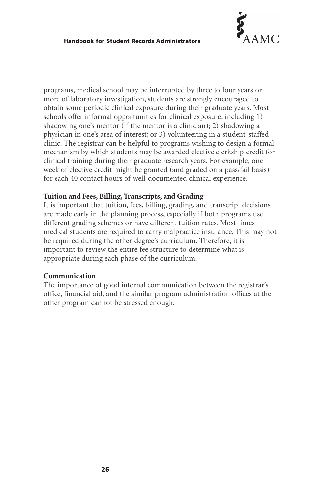

programs, medical school may be interrupted by three to four years or more of laboratory investigation, students are strongly encouraged to obtain some periodic clinical exposure during their graduate years. Most schools offer informal opportunities for clinical exposure, including 1) shadowing one's mentor (if the mentor is a clinician); 2) shadowing a physician in one's area of interest; or 3) volunteering in a student-staffed clinic. The registrar can be helpful to programs wishing to design a formal mechanism by which students may be awarded elective clerkship credit for clinical training during their graduate research years. For example, one week of elective credit might be granted (and graded on a pass/fail basis) for each 40 contact hours of well-documented clinical experience.

## **Tuition and Fees, Billing, Transcripts, and Grading**

It is important that tuition, fees, billing, grading, and transcript decisions are made early in the planning process, especially if both programs use different grading schemes or have different tuition rates. Most times medical students are required to carry malpractice insurance. This may not be required during the other degree's curriculum. Therefore, it is important to review the entire fee structure to determine what is appropriate during each phase of the curriculum.

## **Communication**

The importance of good internal communication between the registrar's office, financial aid, and the similar program administration offices at the other program cannot be stressed enough.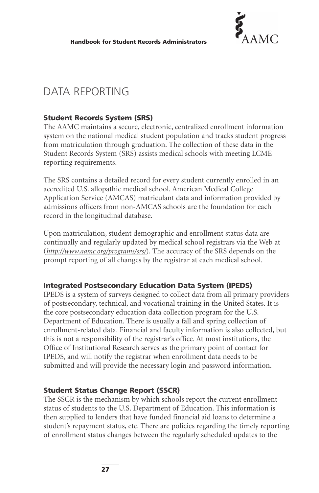

# DATA REPORTING

## **Student Records System (SRS)**

The AAMC maintains a secure, electronic, centralized enrollment information system on the national medical student population and tracks student progress from matriculation through graduation. The collection of these data in the Student Records System (SRS) assists medical schools with meeting LCME reporting requirements.

The SRS contains a detailed record for every student currently enrolled in an accredited U.S. allopathic medical school. American Medical College Application Service (AMCAS) matriculant data and information provided by admissions officers from non-AMCAS schools are the foundation for each record in the longitudinal database.

Upon matriculation, student demographic and enrollment status data are continually and regularly updated by medical school registrars via the Web at (*<http://www.aamc.org/programs/srs/>*). The accuracy of the SRS depends on the prompt reporting of all changes by the registrar at each medical school.

## **Integrated Postsecondary Education Data System (IPEDS)**

IPEDS is a system of surveys designed to collect data from all primary providers of postsecondary, technical, and vocational training in the United States. It is the core postsecondary education data collection program for the U.S. Department of Education. There is usually a fall and spring collection of enrollment-related data. Financial and faculty information is also collected, but this is not a responsibility of the registrar's office. At most institutions, the Office of Institutional Research serves as the primary point of contact for IPEDS, and will notify the registrar when enrollment data needs to be submitted and will provide the necessary login and password information.

## **Student Status Change Report (SSCR)**

The SSCR is the mechanism by which schools report the current enrollment status of students to the U.S. Department of Education. This information is then supplied to lenders that have funded financial aid loans to determine a student's repayment status, etc. There are policies regarding the timely reporting of enrollment status changes between the regularly scheduled updates to the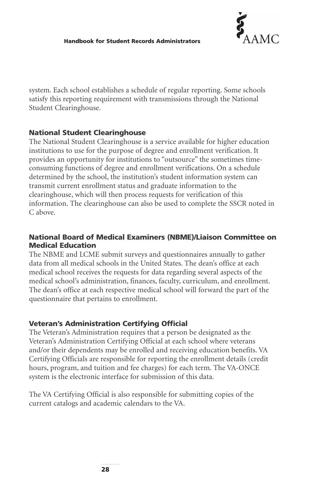

system. Each school establishes a schedule of regular reporting. Some schools satisfy this reporting requirement with transmissions through the National Student Clearinghouse.

# **National Student Clearinghouse**

The National Student Clearinghouse is a service available for higher education institutions to use for the purpose of degree and enrollment verification. It provides an opportunity for institutions to "outsource" the sometimes timeconsuming functions of degree and enrollment verifications. On a schedule determined by the school, the institution's student information system can transmit current enrollment status and graduate information to the clearinghouse, which will then process requests for verification of this information. The clearinghouse can also be used to complete the SSCR noted in C above.

# **National Board of Medical Examiners (NBME)/Liaison Committee on Medical Education**

The NBME and LCME submit surveys and questionnaires annually to gather data from all medical schools in the United States. The dean's office at each medical school receives the requests for data regarding several aspects of the medical school's administration, finances, faculty, curriculum, and enrollment. The dean's office at each respective medical school will forward the part of the questionnaire that pertains to enrollment.

# **Veteran's Administration Certifying Official**

The Veteran's Administration requires that a person be designated as the Veteran's Administration Certifying Official at each school where veterans and/or their dependents may be enrolled and receiving education benefits. VA Certifying Officials are responsible for reporting the enrollment details (credit hours, program, and tuition and fee charges) for each term. The VA-ONCE system is the electronic interface for submission of this data.

The VA Certifying Official is also responsible for submitting copies of the current catalogs and academic calendars to the VA.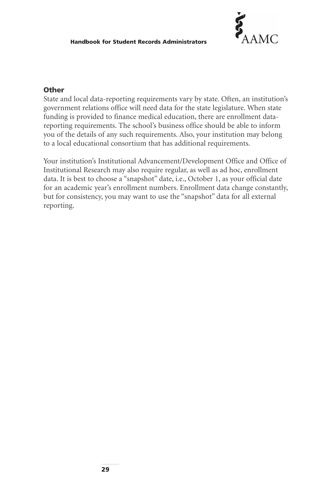

## **Other**

State and local data-reporting requirements vary by state. Often, an institution's government relations office will need data for the state legislature. When state funding is provided to finance medical education, there are enrollment datareporting requirements. The school's business office should be able to inform you of the details of any such requirements. Also, your institution may belong to a local educational consortium that has additional requirements.

Your institution's Institutional Advancement/Development Office and Office of Institutional Research may also require regular, as well as ad hoc, enrollment data. It is best to choose a "snapshot" date, i.e., October 1, as your official date for an academic year's enrollment numbers. Enrollment data change constantly, but for consistency, you may want to use the "snapshot" data for all external reporting.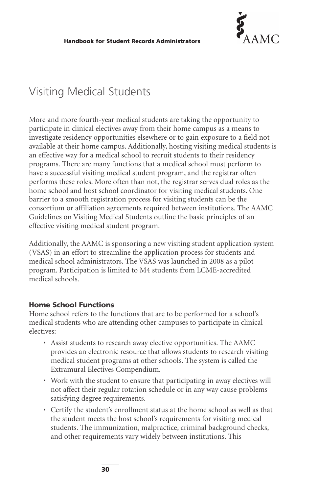

# Visiting Medical Students

More and more fourth-year medical students are taking the opportunity to participate in clinical electives away from their home campus as a means to investigate residency opportunities elsewhere or to gain exposure to a field not available at their home campus. Additionally, hosting visiting medical students is an effective way for a medical school to recruit students to their residency programs. There are many functions that a medical school must perform to have a successful visiting medical student program, and the registrar often performs these roles. More often than not, the registrar serves dual roles as the home school and host school coordinator for visiting medical students. One barrier to a smooth registration process for visiting students can be the consortium or affiliation agreements required between institutions. The AAMC Guidelines on Visiting Medical Students outline the basic principles of an effective visiting medical student program.

Additionally, the AAMC is sponsoring a new visiting student application system (VSAS) in an effort to streamline the application process for students and medical school administrators. The VSAS was launched in 2008 as a pilot program. Participation is limited to M4 students from LCME-accredited medical schools.

## **Home School Functions**

Home school refers to the functions that are to be performed for a school's medical students who are attending other campuses to participate in clinical electives:

- Assist students to research away elective opportunities. The AAMC provides an electronic resource that allows students to research visiting medical student programs at other schools. The system is called the Extramural Electives Compendium.
- Work with the student to ensure that participating in away electives will not affect their regular rotation schedule or in any way cause problems satisfying degree requirements.
- Certify the student's enrollment status at the home school as well as that the student meets the host school's requirements for visiting medical students. The immunization, malpractice, criminal background checks, and other requirements vary widely between institutions. This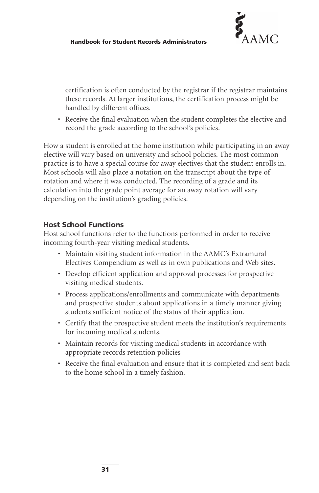

certification is often conducted by the registrar if the registrar maintains these records. At larger institutions, the certification process might be handled by different offices.

• Receive the final evaluation when the student completes the elective and record the grade according to the school's policies.

How a student is enrolled at the home institution while participating in an away elective will vary based on university and school policies. The most common practice is to have a special course for away electives that the student enrolls in. Most schools will also place a notation on the transcript about the type of rotation and where it was conducted. The recording of a grade and its calculation into the grade point average for an away rotation will vary depending on the institution's grading policies.

# **Host School Functions**

Host school functions refer to the functions performed in order to receive incoming fourth-year visiting medical students.

- Maintain visiting student information in the AAMC's Extramural Electives Compendium as well as in own publications and Web sites.
- Develop efficient application and approval processes for prospective visiting medical students.
- Process applications/enrollments and communicate with departments and prospective students about applications in a timely manner giving students sufficient notice of the status of their application.
- Certify that the prospective student meets the institution's requirements for incoming medical students.
- Maintain records for visiting medical students in accordance with appropriate records retention policies
- Receive the final evaluation and ensure that it is completed and sent back to the home school in a timely fashion.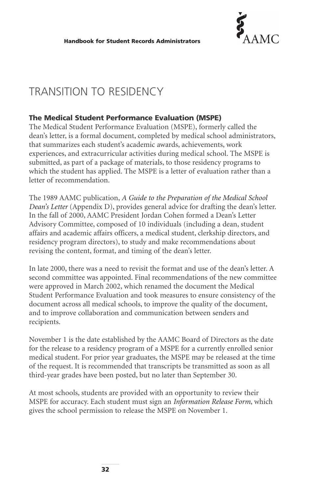

# TRANSITION TO RESIDENCY

# **The Medical Student Performance Evaluation (MSPE)**

The Medical Student Performance Evaluation (MSPE), formerly called the dean's letter, is a formal document, completed by medical school administrators, that summarizes each student's academic awards, achievements, work experiences, and extracurricular activities during medical school. The MSPE is submitted, as part of a package of materials, to those residency programs to which the student has applied. The MSPE is a letter of evaluation rather than a letter of recommendation.

The 1989 AAMC publication, *A Guide to the Preparation of the Medical School Dean's Letter* (Appendix D), provides general advice for drafting the dean's letter. In the fall of 2000, AAMC President Jordan Cohen formed a Dean's Letter Advisory Committee, composed of 10 individuals (including a dean, student affairs and academic affairs officers, a medical student, clerkship directors, and residency program directors), to study and make recommendations about revising the content, format, and timing of the dean's letter.

In late 2000, there was a need to revisit the format and use of the dean's letter. A second committee was appointed. Final recommendations of the new committee were approved in March 2002, which renamed the document the Medical Student Performance Evaluation and took measures to ensure consistency of the document across all medical schools, to improve the quality of the document, and to improve collaboration and communication between senders and recipients.

November 1 is the date established by the AAMC Board of Directors as the date for the release to a residency program of a MSPE for a currently enrolled senior medical student. For prior year graduates, the MSPE may be released at the time of the request. It is recommended that transcripts be transmitted as soon as all third-year grades have been posted, but no later than September 30.

At most schools, students are provided with an opportunity to review their MSPE for accuracy. Each student must sign an *Information Release Form*, which gives the school permission to release the MSPE on November 1.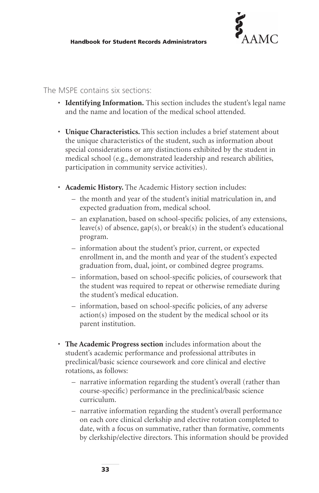

#### The MSPE contains six sections:

- **Identifying Information.** This section includes the student's legal name and the name and location of the medical school attended.
- **Unique Characteristics.** This section includes a brief statement about the unique characteristics of the student, such as information about special considerations or any distinctions exhibited by the student in medical school (e.g., demonstrated leadership and research abilities, participation in community service activities).
- **Academic History.** The Academic History section includes:
	- the month and year of the student's initial matriculation in, and expected graduation from, medical school.
	- an explanation, based on school-specific policies, of any extensions, leave(s) of absence,  $gap(s)$ , or break(s) in the student's educational program.
	- information about the student's prior, current, or expected enrollment in, and the month and year of the student's expected graduation from, dual, joint, or combined degree programs.
	- information, based on school-specific policies, of coursework that the student was required to repeat or otherwise remediate during the student's medical education.
	- information, based on school-specific policies, of any adverse action(s) imposed on the student by the medical school or its parent institution.
- **The Academic Progress section** includes information about the student's academic performance and professional attributes in preclinical/basic science coursework and core clinical and elective rotations, as follows:
	- narrative information regarding the student's overall (rather than course-specific) performance in the preclinical/basic science curriculum.
	- narrative information regarding the student's overall performance on each core clinical clerkship and elective rotation completed to date, with a focus on summative, rather than formative, comments by clerkship/elective directors. This information should be provided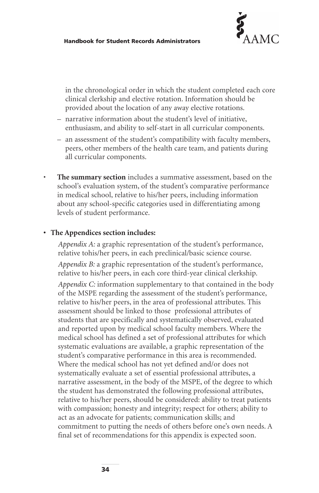

in the chronological order in which the student completed each core clinical clerkship and elective rotation. Information should be provided about the location of any away elective rotations.

- narrative information about the student's level of initiative, enthusiasm, and ability to self-start in all curricular components.
- an assessment of the student's compatibility with faculty members, peers, other members of the health care team, and patients during all curricular components.
- **The summary section** includes a summative assessment, based on the school's evaluation system, of the student's comparative performance in medical school, relative to his/her peers, including information about any school-specific categories used in differentiating among levels of student performance.

#### **• The Appendices section includes:**

*Appendix A:* a graphic representation of the student's performance, relative tohis/her peers, in each preclinical/basic science course. *Appendix B:* a graphic representation of the student's performance, relative to his/her peers, in each core third-year clinical clerkship.

*Appendix C:* information supplementary to that contained in the body of the MSPE regarding the assessment of the student's performance, relative to his/her peers, in the area of professional attributes. This assessment should be linked to those professional attributes of students that are specifically and systematically observed, evaluated and reported upon by medical school faculty members. Where the medical school has defined a set of professional attributes for which systematic evaluations are available, a graphic representation of the student's comparative performance in this area is recommended. Where the medical school has not yet defined and/or does not systematically evaluate a set of essential professional attributes, a narrative assessment, in the body of the MSPE, of the degree to which the student has demonstrated the following professional attributes, relative to his/her peers, should be considered: ability to treat patients with compassion; honesty and integrity; respect for others; ability to act as an advocate for patients; communication skills; and commitment to putting the needs of others before one's own needs. A final set of recommendations for this appendix is expected soon.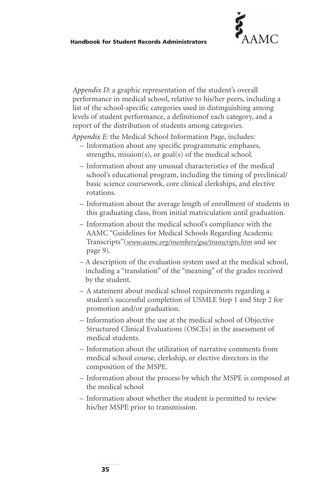

*Appendix D:* a graphic representation of the student's overall performance in medical school, relative to his/her peers, including a list of the school-specific categories used in distinguishing among levels of student performance, a definitionof each category, and a report of the distribution of students among categories.

*Appendix E:* the Medical School Information Page, includes:

- Information about any specific programmatic emphases, strengths, mission(s), or goal(s) of the medical school.
- Information about any unusual characteristics of the medical school's educational program, including the timing of preclinical/ basic science coursework, core clinical clerkships, and elective rotations.
- Information about the average length of enrollment of students in this graduating class, from initial matriculation until graduation.
- Information about the medical school's compliance with the AAMC "Guidelines for Medical Schools Regarding Academic Transcripts"(*[www.aamc.org/members/gsa/transcripts.htm](http://www.aamc.org/members/gsa/transcripts.htm)* and see page 9).
- A description of the evaluation system used at the medical school, including a "translation" of the "meaning" of the grades received by the student.
- A statement about medical school requirements regarding a student's successful completion of USMLE Step 1 and Step 2 for promotion and/or graduation.
- Information about the use at the medical school of Objective Structured Clinical Evaluations (OSCEs) in the assessment of medical students.
- Information about the utilization of narrative comments from medical school course, clerkship, or elective directors in the composition of the MSPE.
- Information about the process by which the MSPE is composed at the medical school
- Information about whether the student is permitted to review his/her MSPE prior to transmission.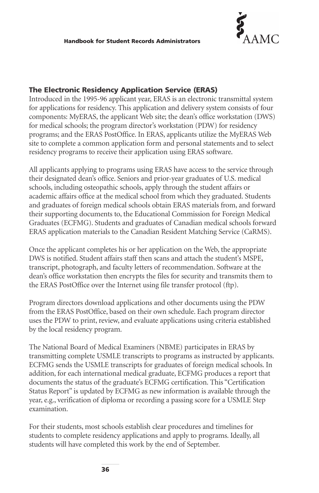

#### **The Electronic Residency Application Service (ERAS)**

Introduced in the 1995-96 applicant year, ERAS is an electronic transmittal system for applications for residency. This application and delivery system consists of four components: MyERAS, the applicant Web site; the dean's office workstation (DWS) for medical schools; the program director's workstation (PDW) for residency programs; and the ERAS PostOffice. In ERAS, applicants utilize the MyERAS Web site to complete a common application form and personal statements and to select residency programs to receive their application using ERAS software.

All applicants applying to programs using ERAS have access to the service through their designated dean's office. Seniors and prior-year graduates of U.S. medical schools, including osteopathic schools, apply through the student affairs or academic affairs office at the medical school from which they graduated. Students and graduates of foreign medical schools obtain ERAS materials from, and forward their supporting documents to, the Educational Commission for Foreign Medical Graduates (ECFMG). Students and graduates of Canadian medical schools forward ERAS application materials to the Canadian Resident Matching Service (CaRMS).

Once the applicant completes his or her application on the Web, the appropriate DWS is notified. Student affairs staff then scans and attach the student's MSPE, transcript, photograph, and faculty letters of recommendation. Software at the dean's office workstation then encrypts the files for security and transmits them to the ERAS PostOffice over the Internet using file transfer protocol (ftp).

Program directors download applications and other documents using the PDW from the ERAS PostOffice, based on their own schedule. Each program director uses the PDW to print, review, and evaluate applications using criteria established by the local residency program.

The National Board of Medical Examiners (NBME) participates in ERAS by transmitting complete USMLE transcripts to programs as instructed by applicants. ECFMG sends the USMLE transcripts for graduates of foreign medical schools. In addition, for each international medical graduate, ECFMG produces a report that documents the status of the graduate's ECFMG certification. This "Certification Status Report" is updated by ECFMG as new information is available through the year, e.g., verification of diploma or recording a passing score for a USMLE Step examination.

For their students, most schools establish clear procedures and timelines for students to complete residency applications and apply to programs. Ideally, all students will have completed this work by the end of September.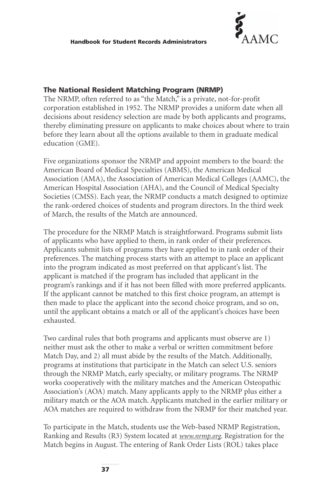

#### **The National Resident Matching Program (NRMP)**

The NRMP, often referred to as "the Match," is a private, not-for-profit corporation established in 1952. The NRMP provides a uniform date when all decisions about residency selection are made by both applicants and programs, thereby eliminating pressure on applicants to make choices about where to train before they learn about all the options available to them in graduate medical education (GME).

Five organizations sponsor the NRMP and appoint members to the board: the American Board of Medical Specialties (ABMS), the American Medical Association (AMA), the Association of American Medical Colleges (AAMC), the American Hospital Association (AHA), and the Council of Medical Specialty Societies (CMSS). Each year, the NRMP conducts a match designed to optimize the rank-ordered choices of students and program directors. In the third week of March, the results of the Match are announced.

The procedure for the NRMP Match is straightforward. Programs submit lists of applicants who have applied to them, in rank order of their preferences. Applicants submit lists of programs they have applied to in rank order of their preferences. The matching process starts with an attempt to place an applicant into the program indicated as most preferred on that applicant's list. The applicant is matched if the program has included that applicant in the program's rankings and if it has not been filled with more preferred applicants. If the applicant cannot be matched to this first choice program, an attempt is then made to place the applicant into the second choice program, and so on, until the applicant obtains a match or all of the applicant's choices have been exhausted.

Two cardinal rules that both programs and applicants must observe are 1) neither must ask the other to make a verbal or written commitment before Match Day, and 2) all must abide by the results of the Match. Additionally, programs at institutions that participate in the Match can select U.S. seniors through the NRMP Match, early specialty, or military programs. The NRMP works cooperatively with the military matches and the American Osteopathic Association's (AOA) match. Many applicants apply to the NRMP plus either a military match or the AOA match. Applicants matched in the earlier military or AOA matches are required to withdraw from the NRMP for their matched year.

To participate in the Match, students use the Web-based NRMP Registration, Ranking and Results (R3) System located at *[www.nrmp.org](http://www.nrmp.org/)*. Registration for the Match begins in August. The entering of Rank Order Lists (ROL) takes place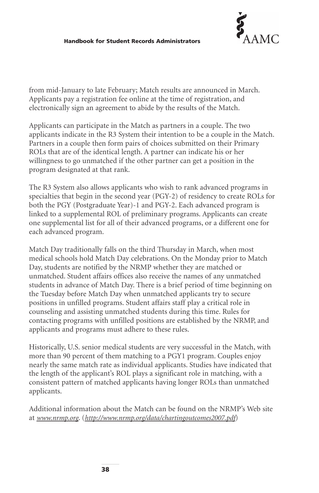

from mid-January to late February; Match results are announced in March. Applicants pay a registration fee online at the time of registration, and electronically sign an agreement to abide by the results of the Match.

Applicants can participate in the Match as partners in a couple. The two applicants indicate in the R3 System their intention to be a couple in the Match. Partners in a couple then form pairs of choices submitted on their Primary ROLs that are of the identical length. A partner can indicate his or her willingness to go unmatched if the other partner can get a position in the program designated at that rank.

The R3 System also allows applicants who wish to rank advanced programs in specialties that begin in the second year (PGY-2) of residency to create ROLs for both the PGY (Postgraduate Year)-1 and PGY-2. Each advanced program is linked to a supplemental ROL of preliminary programs. Applicants can create one supplemental list for all of their advanced programs, or a different one for each advanced program.

Match Day traditionally falls on the third Thursday in March, when most medical schools hold Match Day celebrations. On the Monday prior to Match Day, students are notified by the NRMP whether they are matched or unmatched. Student affairs offices also receive the names of any unmatched students in advance of Match Day. There is a brief period of time beginning on the Tuesday before Match Day when unmatched applicants try to secure positions in unfilled programs. Student affairs staff play a critical role in counseling and assisting unmatched students during this time. Rules for contacting programs with unfilled positions are established by the NRMP, and applicants and programs must adhere to these rules.

Historically, U.S. senior medical students are very successful in the Match, with more than 90 percent of them matching to a PGY1 program. Couples enjoy nearly the same match rate as individual applicants. Studies have indicated that the length of the applicant's ROL plays a significant role in matching, with a consistent pattern of matched applicants having longer ROLs than unmatched applicants.

Additional information about the Match can be found on the NRMP's Web site at *[www.nrmp.org](http://www.nrmp.org/)*. (*<http://www.nrmp.org/data/chartingoutcomes2007.pdf>*)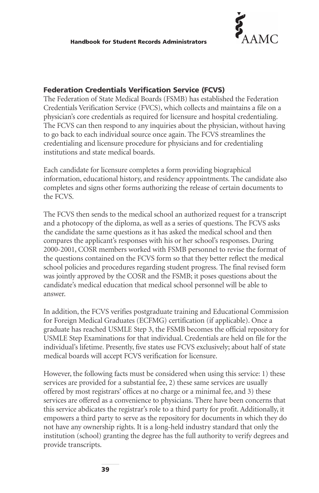

#### **Federation Credentials Verification Service (FCVS)**

The Federation of State Medical Boards (FSMB) has established the Federation Credentials Verification Service (FVCS), which collects and maintains a file on a physician's core credentials as required for licensure and hospital credentialing. The FCVS can then respond to any inquiries about the physician, without having to go back to each individual source once again. The FCVS streamlines the credentialing and licensure procedure for physicians and for credentialing institutions and state medical boards.

Each candidate for licensure completes a form providing biographical information, educational history, and residency appointments. The candidate also completes and signs other forms authorizing the release of certain documents to the FCVS.

The FCVS then sends to the medical school an authorized request for a transcript and a photocopy of the diploma, as well as a series of questions. The FCVS asks the candidate the same questions as it has asked the medical school and then compares the applicant's responses with his or her school's responses. During 2000-2001, COSR members worked with FSMB personnel to revise the format of the questions contained on the FCVS form so that they better reflect the medical school policies and procedures regarding student progress. The final revised form was jointly approved by the COSR and the FSMB; it poses questions about the candidate's medical education that medical school personnel will be able to answer.

In addition, the FCVS verifies postgraduate training and Educational Commission for Foreign Medical Graduates (ECFMG) certification (if applicable). Once a graduate has reached USMLE Step 3, the FSMB becomes the official repository for USMLE Step Examinations for that individual. Credentials are held on file for the individual's lifetime. Presently, five states use FCVS exclusively; about half of state medical boards will accept FCVS verification for licensure.

However, the following facts must be considered when using this service: 1) these services are provided for a substantial fee, 2) these same services are usually offered by most registrars' offices at no charge or a minimal fee, and 3) these services are offered as a convenience to physicians. There have been concerns that this service abdicates the registrar's role to a third party for profit. Additionally, it empowers a third party to serve as the repository for documents in which they do not have any ownership rights. It is a long-held industry standard that only the institution (school) granting the degree has the full authority to verify degrees and provide transcripts.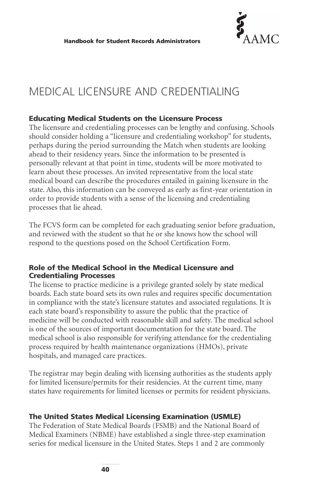

# MEDICAL LICENSURE AND CREDENTIALING

#### **Educating Medical Students on the Licensure Process**

The licensure and credentialing processes can be lengthy and confusing. Schools should consider holding a "licensure and credentialing workshop" for students, perhaps during the period surrounding the Match when students are looking ahead to their residency years. Since the information to be presented is personally relevant at that point in time, students will be more motivated to learn about these processes. An invited representative from the local state medical board can describe the procedures entailed in gaining licensure in the state. Also, this information can be conveyed as early as first-year orientation in order to provide students with a sense of the licensing and credentialing processes that lie ahead.

The FCVS form can be completed for each graduating senior before graduation, and reviewed with the student so that he or she knows how the school will respond to the questions posed on the School Certification Form.

#### **Role of the Medical School in the Medical Licensure and Credentialing Processes**

The license to practice medicine is a privilege granted solely by state medical boards. Each state board sets its own rules and requires specific documentation in compliance with the state's licensure statutes and associated regulations. It is each state board's responsibility to assure the public that the practice of medicine will be conducted with reasonable skill and safety. The medical school is one of the sources of important documentation for the state board. The medical school is also responsible for verifying attendance for the credentialing process required by health maintenance organizations (HMOs), private hospitals, and managed care practices.

The registrar may begin dealing with licensing authorities as the students apply for limited licensure/permits for their residencies. At the current time, many states have requirements for limited licenses or permits for resident physicians.

#### **The United States Medical Licensing Examination (USMLE)**

The Federation of State Medical Boards (FSMB) and the National Board of Medical Examiners (NBME) have established a single three-step examination series for medical licensure in the United States. Steps 1 and 2 are commonly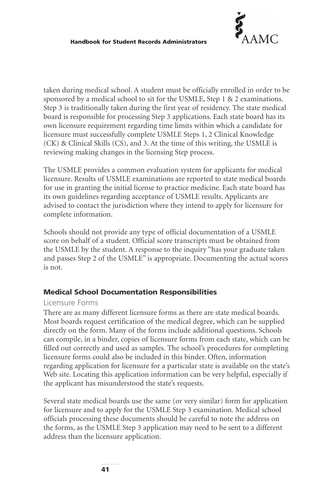

taken during medical school. A student must be officially enrolled in order to be sponsored by a medical school to sit for the USMLE, Step 1 & 2 examinations. Step 3 is traditionally taken during the first year of residency. The state medical board is responsible for processing Step 3 applications. Each state board has its own licensure requirement regarding time limits within which a candidate for licensure must successfully complete USMLE Steps 1, 2 Clinical Knowledge (CK) & Clinical Skills (CS), and 3. At the time of this writing, the USMLE is reviewing making changes in the licensing Step process.

The USMLE provides a common evaluation system for applicants for medical licensure. Results of USMLE examinations are reported to state medical boards for use in granting the initial license to practice medicine. Each state board has its own guidelines regarding acceptance of USMLE results. Applicants are advised to contact the jurisdiction where they intend to apply for licensure for complete information.

Schools should not provide any type of official documentation of a USMLE score on behalf of a student. Official score transcripts must be obtained from the USMLE by the student. A response to the inquiry "has your graduate taken and passes Step 2 of the USMLE" is appropriate. Documenting the actual scores is not.

#### **Medical School Documentation Responsibilities**

#### Licensure Forms

There are as many different licensure forms as there are state medical boards. Most boards request certification of the medical degree, which can be supplied directly on the form. Many of the forms include additional questions. Schools can compile, in a binder, copies of licensure forms from each state, which can be filled out correctly and used as samples. The school's procedures for completing licensure forms could also be included in this binder. Often, information regarding application for licensure for a particular state is available on the state's Web site. Locating this application information can be very helpful, especially if the applicant has misunderstood the state's requests.

Several state medical boards use the same (or very similar) form for application for licensure and to apply for the USMLE Step 3 examination. Medical school officials processing these documents should be careful to note the address on the forms, as the USMLE Step 3 application may need to be sent to a different address than the licensure application.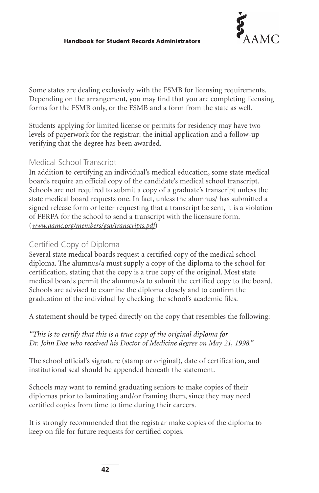

Some states are dealing exclusively with the FSMB for licensing requirements. Depending on the arrangement, you may find that you are completing licensing forms for the FSMB only, or the FSMB and a form from the state as well.

Students applying for limited license or permits for residency may have two levels of paperwork for the registrar: the initial application and a follow-up verifying that the degree has been awarded.

#### Medical School Transcript

In addition to certifying an individual's medical education, some state medical boards require an official copy of the candidate's medical school transcript. Schools are not required to submit a copy of a graduate's transcript unless the state medical board requests one. In fact, unless the alumnus/ has submitted a signed release form or letter requesting that a transcript be sent, it is a violation of FERPA for the school to send a transcript with the licensure form. (*[www.aamc.org/members/gsa/transcripts.pdf](http://www.aamc.org/members/gsa/transcripts.pdf)*)

### Certified Copy of Diploma

Several state medical boards request a certified copy of the medical school diploma. The alumnus/a must supply a copy of the diploma to the school for certification, stating that the copy is a true copy of the original. Most state medical boards permit the alumnus/a to submit the certified copy to the board. Schools are advised to examine the diploma closely and to confirm the graduation of the individual by checking the school's academic files.

A statement should be typed directly on the copy that resembles the following:

#### *"This is to certify that this is a true copy of the original diploma for Dr. John Doe who received his Doctor of Medicine degree on May 21, 1998."*

The school official's signature (stamp or original), date of certification, and institutional seal should be appended beneath the statement.

Schools may want to remind graduating seniors to make copies of their diplomas prior to laminating and/or framing them, since they may need certified copies from time to time during their careers.

It is strongly recommended that the registrar make copies of the diploma to keep on file for future requests for certified copies.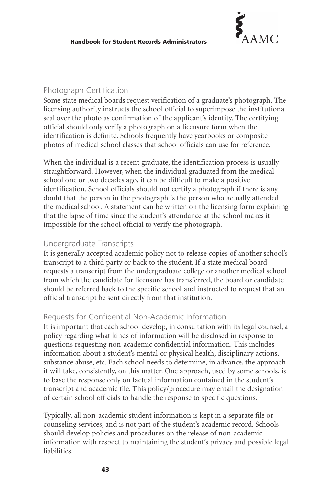

#### Photograph Certification

Some state medical boards request verification of a graduate's photograph. The licensing authority instructs the school official to superimpose the institutional seal over the photo as confirmation of the applicant's identity. The certifying official should only verify a photograph on a licensure form when the identification is definite. Schools frequently have yearbooks or composite photos of medical school classes that school officials can use for reference.

When the individual is a recent graduate, the identification process is usually straightforward. However, when the individual graduated from the medical school one or two decades ago, it can be difficult to make a positive identification. School officials should not certify a photograph if there is any doubt that the person in the photograph is the person who actually attended the medical school. A statement can be written on the licensing form explaining that the lapse of time since the student's attendance at the school makes it impossible for the school official to verify the photograph.

#### Undergraduate Transcripts

It is generally accepted academic policy not to release copies of another school's transcript to a third party or back to the student. If a state medical board requests a transcript from the undergraduate college or another medical school from which the candidate for licensure has transferred, the board or candidate should be referred back to the specific school and instructed to request that an official transcript be sent directly from that institution.

#### Requests for Confidential Non-Academic Information

It is important that each school develop, in consultation with its legal counsel, a policy regarding what kinds of information will be disclosed in response to questions requesting non-academic confidential information. This includes information about a student's mental or physical health, disciplinary actions, substance abuse, etc. Each school needs to determine, in advance, the approach it will take, consistently, on this matter. One approach, used by some schools, is to base the response only on factual information contained in the student's transcript and academic file. This policy/procedure may entail the designation of certain school officials to handle the response to specific questions.

Typically, all non-academic student information is kept in a separate file or counseling services, and is not part of the student's academic record. Schools should develop policies and procedures on the release of non-academic information with respect to maintaining the student's privacy and possible legal liabilities.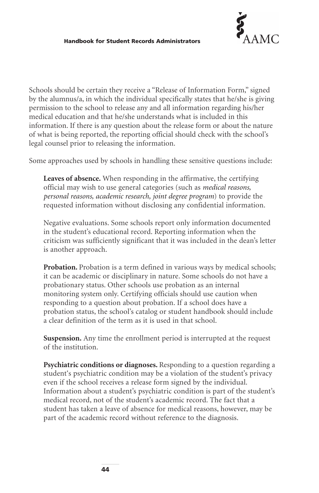

Schools should be certain they receive a "Release of Information Form," signed by the alumnus/a, in which the individual specifically states that he/she is giving permission to the school to release any and all information regarding his/her medical education and that he/she understands what is included in this information. If there is any question about the release form or about the nature of what is being reported, the reporting official should check with the school's legal counsel prior to releasing the information.

Some approaches used by schools in handling these sensitive questions include:

**Leaves of absence.** When responding in the affirmative, the certifying official may wish to use general categories (such as *medical reasons, personal reasons, academic research, joint degree program*) to provide the requested information without disclosing any confidential information.

Negative evaluations. Some schools report only information documented in the student's educational record. Reporting information when the criticism was sufficiently significant that it was included in the dean's letter is another approach.

**Probation.** Probation is a term defined in various ways by medical schools; it can be academic or disciplinary in nature. Some schools do not have a probationary status. Other schools use probation as an internal monitoring system only. Certifying officials should use caution when responding to a question about probation. If a school does have a probation status, the school's catalog or student handbook should include a clear definition of the term as it is used in that school.

**Suspension.** Any time the enrollment period is interrupted at the request of the institution.

**Psychiatric conditions or diagnoses.** Responding to a question regarding a student's psychiatric condition may be a violation of the student's privacy even if the school receives a release form signed by the individual. Information about a student's psychiatric condition is part of the student's medical record, not of the student's academic record. The fact that a student has taken a leave of absence for medical reasons, however, may be part of the academic record without reference to the diagnosis.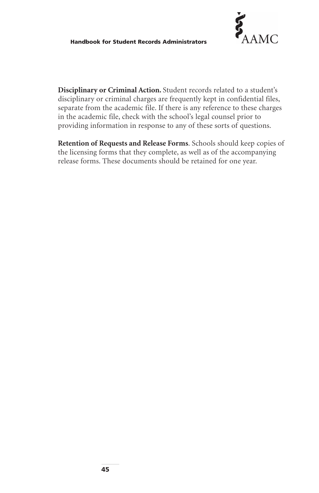

**Disciplinary or Criminal Action.** Student records related to a student's disciplinary or criminal charges are frequently kept in confidential files, separate from the academic file. If there is any reference to these charges in the academic file, check with the school's legal counsel prior to providing information in response to any of these sorts of questions.

**Retention of Requests and Release Forms**. Schools should keep copies of the licensing forms that they complete, as well as of the accompanying release forms. These documents should be retained for one year.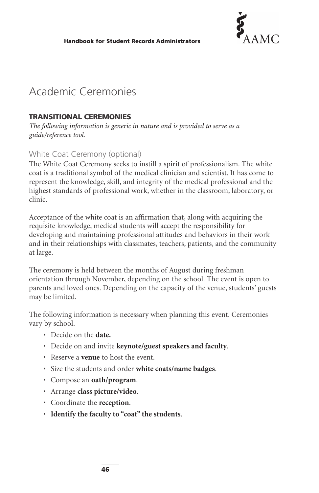

# Academic Ceremonies

#### **TRANSITIONAL CEREMONIES**

*The following information is generic in nature and is provided to serve as a guide/reference tool.*

#### White Coat Ceremony (optional)

The White Coat Ceremony seeks to instill a spirit of professionalism. The white coat is a traditional symbol of the medical clinician and scientist. It has come to represent the knowledge, skill, and integrity of the medical professional and the highest standards of professional work, whether in the classroom, laboratory, or clinic.

Acceptance of the white coat is an affirmation that, along with acquiring the requisite knowledge, medical students will accept the responsibility for developing and maintaining professional attitudes and behaviors in their work and in their relationships with classmates, teachers, patients, and the community at large.

The ceremony is held between the months of August during freshman orientation through November, depending on the school. The event is open to parents and loved ones. Depending on the capacity of the venue, students' guests may be limited.

The following information is necessary when planning this event. Ceremonies vary by school.

- Decide on the **date.**
- Decide on and invite **keynote/guest speakers and faculty**.
- Reserve a **venue** to host the event.
- Size the students and order **white coats/name badges**.
- Compose an **oath/program**.
- Arrange **class picture/video**.
- Coordinate the **reception**.
- **Identify the faculty to "coat" the students**.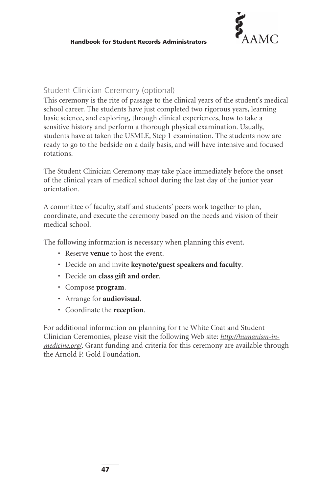

#### Student Clinician Ceremony (optional)

This ceremony is the rite of passage to the clinical years of the student's medical school career. The students have just completed two rigorous years, learning basic science, and exploring, through clinical experiences, how to take a sensitive history and perform a thorough physical examination. Usually, students have at taken the USMLE, Step 1 examination. The students now are ready to go to the bedside on a daily basis, and will have intensive and focused rotations.

The Student Clinician Ceremony may take place immediately before the onset of the clinical years of medical school during the last day of the junior year orientation.

A committee of faculty, staff and students' peers work together to plan, coordinate, and execute the ceremony based on the needs and vision of their medical school.

The following information is necessary when planning this event.

- Reserve **venue** to host the event.
- Decide on and invite **keynote/guest speakers and faculty**.
- Decide on **class gift and order**.
- Compose **program**.
- Arrange for **audiovisual**.
- Coordinate the **reception**.

For additional information on planning for the White Coat and Student Clinician Ceremonies, please visit the following Web site: *[http://humanism-in](http://humanism-in-medicine.org/)[medicine.org/](http://humanism-in-medicine.org/)*. Grant funding and criteria for this ceremony are available through the Arnold P. Gold Foundation.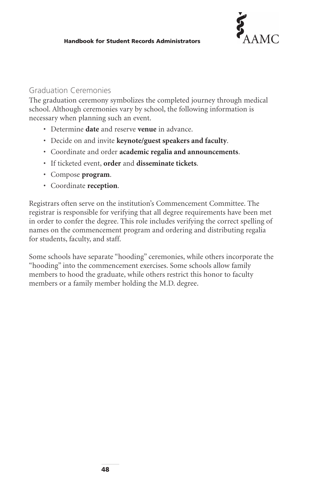

#### Graduation Ceremonies

The graduation ceremony symbolizes the completed journey through medical school. Although ceremonies vary by school, the following information is necessary when planning such an event.

- Determine **date** and reserve **venue** in advance.
- Decide on and invite **keynote/guest speakers and faculty**.
- Coordinate and order **academic regalia and announcements**.
- If ticketed event, **order** and **disseminate tickets**.
- Compose **program**.
- Coordinate **reception**.

Registrars often serve on the institution's Commencement Committee. The registrar is responsible for verifying that all degree requirements have been met in order to confer the degree. This role includes verifying the correct spelling of names on the commencement program and ordering and distributing regalia for students, faculty, and staff.

Some schools have separate "hooding" ceremonies, while others incorporate the "hooding" into the commencement exercises. Some schools allow family members to hood the graduate, while others restrict this honor to faculty members or a family member holding the M.D. degree.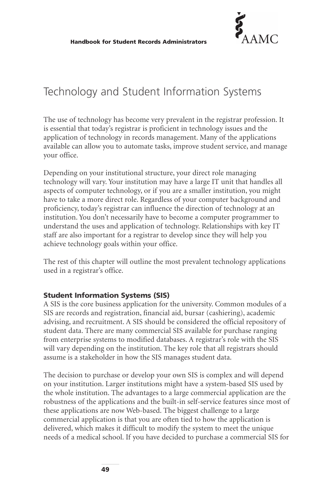

# Technology and Student Information Systems

The use of technology has become very prevalent in the registrar profession. It is essential that today's registrar is proficient in technology issues and the application of technology in records management. Many of the applications available can allow you to automate tasks, improve student service, and manage your office.

Depending on your institutional structure, your direct role managing technology will vary. Your institution may have a large IT unit that handles all aspects of computer technology, or if you are a smaller institution, you might have to take a more direct role. Regardless of your computer background and proficiency, today's registrar can influence the direction of technology at an institution. You don't necessarily have to become a computer programmer to understand the uses and application of technology. Relationships with key IT staff are also important for a registrar to develop since they will help you achieve technology goals within your office.

The rest of this chapter will outline the most prevalent technology applications used in a registrar's office.

#### **Student Information Systems (SIS)**

A SIS is the core business application for the university. Common modules of a SIS are records and registration, financial aid, bursar (cashiering), academic advising, and recruitment. A SIS should be considered the official repository of student data. There are many commercial SIS available for purchase ranging from enterprise systems to modified databases. A registrar's role with the SIS will vary depending on the institution. The key role that all registrars should assume is a stakeholder in how the SIS manages student data.

The decision to purchase or develop your own SIS is complex and will depend on your institution. Larger institutions might have a system-based SIS used by the whole institution. The advantages to a large commercial application are the robustness of the applications and the built-in self-service features since most of these applications are now Web-based. The biggest challenge to a large commercial application is that you are often tied to how the application is delivered, which makes it difficult to modify the system to meet the unique needs of a medical school. If you have decided to purchase a commercial SIS for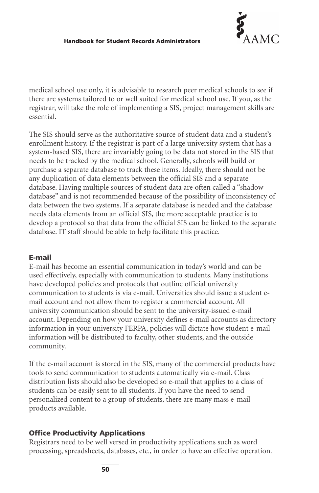

medical school use only, it is advisable to research peer medical schools to see if there are systems tailored to or well suited for medical school use. If you, as the registrar, will take the role of implementing a SIS, project management skills are essential.

The SIS should serve as the authoritative source of student data and a student's enrollment history. If the registrar is part of a large university system that has a system-based SIS, there are invariably going to be data not stored in the SIS that needs to be tracked by the medical school. Generally, schools will build or purchase a separate database to track these items. Ideally, there should not be any duplication of data elements between the official SIS and a separate database. Having multiple sources of student data are often called a "shadow database" and is not recommended because of the possibility of inconsistency of data between the two systems. If a separate database is needed and the database needs data elements from an official SIS, the more acceptable practice is to develop a protocol so that data from the official SIS can be linked to the separate database. IT staff should be able to help facilitate this practice.

#### **E-mail**

E-mail has become an essential communication in today's world and can be used effectively, especially with communication to students. Many institutions have developed policies and protocols that outline official university communication to students is via e-mail. Universities should issue a student email account and not allow them to register a commercial account. All university communication should be sent to the university-issued e-mail account. Depending on how your university defines e-mail accounts as directory information in your university FERPA, policies will dictate how student e-mail information will be distributed to faculty, other students, and the outside community.

If the e-mail account is stored in the SIS, many of the commercial products have tools to send communication to students automatically via e-mail. Class distribution lists should also be developed so e-mail that applies to a class of students can be easily sent to all students. If you have the need to send personalized content to a group of students, there are many mass e-mail products available.

#### **Office Productivity Applications**

Registrars need to be well versed in productivity applications such as word processing, spreadsheets, databases, etc., in order to have an effective operation.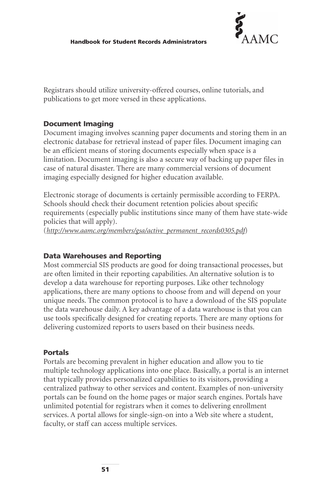

Registrars should utilize university-offered courses, online tutorials, and publications to get more versed in these applications.

#### **Document Imaging**

Document imaging involves scanning paper documents and storing them in an electronic database for retrieval instead of paper files. Document imaging can be an efficient means of storing documents especially when space is a limitation. Document imaging is also a secure way of backing up paper files in case of natural disaster. There are many commercial versions of document imaging especially designed for higher education available.

Electronic storage of documents is certainly permissible according to FERPA. Schools should check their document retention policies about specific requirements (especially public institutions since many of them have state-wide policies that will apply).

(*[http://www.aamc.org/members/gsa/active\\_permanent\\_records0305.pdf](http://www.aamc.org/members/gsa/active_permanent_records0305.pdf)*)

#### **Data Warehouses and Reporting**

Most commercial SIS products are good for doing transactional processes, but are often limited in their reporting capabilities. An alternative solution is to develop a data warehouse for reporting purposes. Like other technology applications, there are many options to choose from and will depend on your unique needs. The common protocol is to have a download of the SIS populate the data warehouse daily. A key advantage of a data warehouse is that you can use tools specifically designed for creating reports. There are many options for delivering customized reports to users based on their business needs.

#### **Portals**

Portals are becoming prevalent in higher education and allow you to tie multiple technology applications into one place. Basically, a portal is an internet that typically provides personalized capabilities to its visitors, providing a centralized pathway to other services and content. Examples of non-university portals can be found on the home pages or major search engines. Portals have unlimited potential for registrars when it comes to delivering enrollment services. A portal allows for single-sign-on into a Web site where a student, faculty, or staff can access multiple services.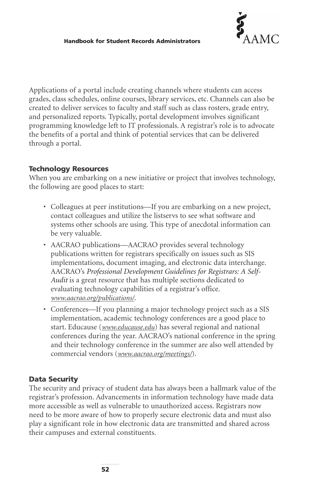

Applications of a portal include creating channels where students can access grades, class schedules, online courses, library services, etc. Channels can also be created to deliver services to faculty and staff such as class rosters, grade entry, and personalized reports. Typically, portal development involves significant programming knowledge left to IT professionals. A registrar's role is to advocate the benefits of a portal and think of potential services that can be delivered through a portal.

#### **Technology Resources**

When you are embarking on a new initiative or project that involves technology, the following are good places to start:

- Colleagues at peer institutions—If you are embarking on a new project, contact colleagues and utilize the listservs to see what software and systems other schools are using. This type of anecdotal information can be very valuable.
- AACRAO publications—AACRAO provides several technology publications written for registrars specifically on issues such as SIS implementations, document imaging, and electronic data interchange. AACRAO's *Professional Development Guidelines for Registrars: A Self-Audit* is a great resource that has multiple sections dedicated to evaluating technology capabilities of a registrar's office. *[www.aacrao.org/publications/](http://www.aacrao.org/publications/)*.
- Conferences—If you planning a major technology project such as a SIS implementation, academic technology conferences are a good place to start. Educause (*<www.educause.edu>*) has several regional and national conferences during the year. AACRAO's national conference in the spring and their technology conference in the summer are also well attended by commercial vendors (*<www.aacrao.org/meetings/>*).

#### **Data Security**

The security and privacy of student data has always been a hallmark value of the registrar's profession. Advancements in information technology have made data more accessible as well as vulnerable to unauthorized access. Registrars now need to be more aware of how to properly secure electronic data and must also play a significant role in how electronic data are transmitted and shared across their campuses and external constituents.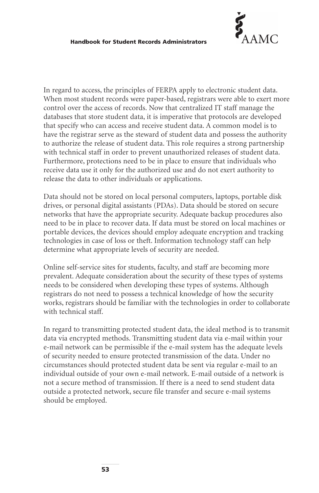

In regard to access, the principles of FERPA apply to electronic student data. When most student records were paper-based, registrars were able to exert more control over the access of records. Now that centralized IT staff manage the databases that store student data, it is imperative that protocols are developed that specify who can access and receive student data. A common model is to have the registrar serve as the steward of student data and possess the authority to authorize the release of student data. This role requires a strong partnership with technical staff in order to prevent unauthorized releases of student data. Furthermore, protections need to be in place to ensure that individuals who receive data use it only for the authorized use and do not exert authority to release the data to other individuals or applications.

Data should not be stored on local personal computers, laptops, portable disk drives, or personal digital assistants (PDAs). Data should be stored on secure networks that have the appropriate security. Adequate backup procedures also need to be in place to recover data. If data must be stored on local machines or portable devices, the devices should employ adequate encryption and tracking technologies in case of loss or theft. Information technology staff can help determine what appropriate levels of security are needed.

Online self-service sites for students, faculty, and staff are becoming more prevalent. Adequate consideration about the security of these types of systems needs to be considered when developing these types of systems. Although registrars do not need to possess a technical knowledge of how the security works, registrars should be familiar with the technologies in order to collaborate with technical staff.

In regard to transmitting protected student data, the ideal method is to transmit data via encrypted methods. Transmitting student data via e-mail within your e-mail network can be permissible if the e-mail system has the adequate levels of security needed to ensure protected transmission of the data. Under no circumstances should protected student data be sent via regular e-mail to an individual outside of your own e-mail network. E-mail outside of a network is not a secure method of transmission. If there is a need to send student data outside a protected network, secure file transfer and secure e-mail systems should be employed.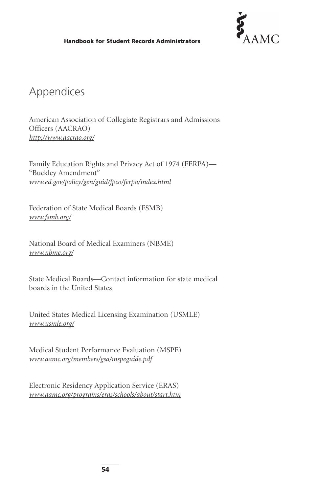

# Appendices

American Association of Collegiate Registrars and Admissions Officers (AACRAO) *<http://www.aacrao.org/>*

Family Education Rights and Privacy Act of 1974 (FERPA)— "Buckley Amendment" *<www.ed.gov/policy/gen/guid/fpco/ferpa/index.html>*

Federation of State Medical Boards (FSMB) *<www.fsmb.org/>*

National Board of Medical Examiners (NBME) *<www.nbme.org/>*

State Medical Boards—Contact information for state medical boards in the United States

United States Medical Licensing Examination (USMLE) *<www.usmle.org/>*

Medical Student Performance Evaluation (MSPE) *<www.aamc.org/members/gsa/mspeguide.pdf>*

Electronic Residency Application Service (ERAS) *<www.aamc.org/programs/eras/schools/about/start.htm>*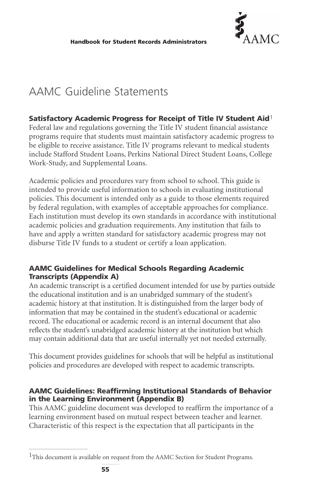

# AAMC Guideline Statements

#### **Satisfactory Academic Progress for Receipt of Title IV Student Aid**1

Federal law and regulations governing the Title IV student financial assistance programs require that students must maintain satisfactory academic progress to be eligible to receive assistance. Title IV programs relevant to medical students include Stafford Student Loans, Perkins National Direct Student Loans, College Work-Study, and Supplemental Loans.

Academic policies and procedures vary from school to school. This guide is intended to provide useful information to schools in evaluating institutional policies. This document is intended only as a guide to those elements required by federal regulation, with examples of acceptable approaches for compliance. Each institution must develop its own standards in accordance with institutional academic policies and graduation requirements. Any institution that fails to have and apply a written standard for satisfactory academic progress may not disburse Title IV funds to a student or certify a loan application.

#### **AAMC Guidelines for Medical Schools Regarding Academic Transcripts (Appendix A)**

An academic transcript is a certified document intended for use by parties outside the educational institution and is an unabridged summary of the student's academic history at that institution. It is distinguished from the larger body of information that may be contained in the student's educational or academic record. The educational or academic record is an internal document that also reflects the student's unabridged academic history at the institution but which may contain additional data that are useful internally yet not needed externally.

This document provides guidelines for schools that will be helpful as institutional policies and procedures are developed with respect to academic transcripts.

#### **AAMC Guidelines: Reaffirming Institutional Standards of Behavior in the Learning Environment (Appendix B)**

This AAMC guideline document was developed to reaffirm the importance of a learning environment based on mutual respect between teacher and learner. Characteristic of this respect is the expectation that all participants in the

<sup>&</sup>lt;sup>1</sup>This document is available on request from the AAMC Section for Student Programs.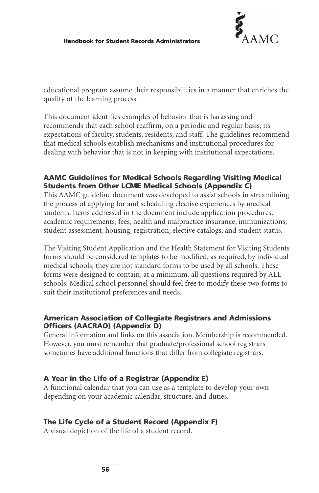

educational program assume their responsibilities in a manner that enriches the quality of the learning process.

This document identifies examples of behavior that is harassing and recommends that each school reaffirm, on a periodic and regular basis, its expectations of faculty, students, residents, and staff. The guidelines recommend that medical schools establish mechanisms and institutional procedures for dealing with behavior that is not in keeping with institutional expectations.

#### **AAMC Guidelines for Medical Schools Regarding Visiting Medical Students from Other LCME Medical Schools (Appendix C)**

This AAMC guideline document was developed to assist schools in streamlining the process of applying for and scheduling elective experiences by medical students. Items addressed in the document include application procedures, academic requirements, fees, health and malpractice insurance, immunizations, student assessment, housing, registration, elective catalogs, and student status.

The Visiting Student Application and the Health Statement for Visiting Students forms should be considered templates to be modified, as required, by individual medical schools; they are not standard forms to be used by all schools. These forms were designed to contain, at a minimum, all questions required by ALL schools. Medical school personnel should feel free to modify these two forms to suit their institutional preferences and needs.

#### **American Association of Collegiate Registrars and Admissions Officers (AACRAO) (Appendix D)**

General information and links on this association. Membership is recommended. However, you must remember that graduate/professional school registrars sometimes have additional functions that differ from collegiate registrars.

#### **A Year in the Life of a Registrar (Appendix E)**

A functional calendar that you can use as a template to develop your own depending on your academic calendar, structure, and duties.

#### **The Life Cycle of a Student Record (Appendix F)**

A visual depiction of the life of a student record.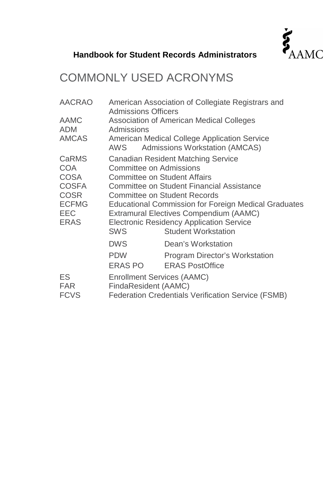

# COMMONLY USED ACRONYMS

| <b>AACRAO</b><br>AAMC<br><b>ADM</b>                                                                                   | American Association of Collegiate Registrars and<br><b>Admissions Officers</b><br>Association of American Medical Colleges<br>Admissions                                                                                                                                                                                                                                   |                                                                                |  |
|-----------------------------------------------------------------------------------------------------------------------|-----------------------------------------------------------------------------------------------------------------------------------------------------------------------------------------------------------------------------------------------------------------------------------------------------------------------------------------------------------------------------|--------------------------------------------------------------------------------|--|
| <b>AMCAS</b>                                                                                                          | AWS                                                                                                                                                                                                                                                                                                                                                                         | American Medical College Application Service<br>Admissions Workstation (AMCAS) |  |
| <b>CaRMS</b><br><b>COA</b><br><b>COSA</b><br><b>COSFA</b><br><b>COSR</b><br><b>ECFMG</b><br><b>EEC</b><br><b>ERAS</b> | Canadian Resident Matching Service<br>Committee on Admissions<br>Committee on Student Affairs<br>Committee on Student Financial Assistance<br>Committee on Student Records<br><b>Educational Commission for Foreign Medical Graduates</b><br>Extramural Electives Compendium (AAMC)<br><b>Electronic Residency Application Service</b><br><b>Student Workstation</b><br>SWS |                                                                                |  |
|                                                                                                                       | <b>DWS</b>                                                                                                                                                                                                                                                                                                                                                                  | Dean's Workstation                                                             |  |
|                                                                                                                       | <b>PDW</b><br>ERAS PO                                                                                                                                                                                                                                                                                                                                                       | Program Director's Workstation<br><b>ERAS PostOffice</b>                       |  |
| ES<br><b>FAR</b><br><b>FCVS</b>                                                                                       | Enrollment Services (AAMC)<br>FindaResident (AAMC)<br>Federation Credentials Verification Service (FSMB)                                                                                                                                                                                                                                                                    |                                                                                |  |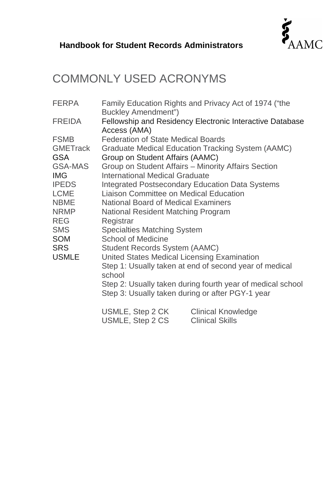

# COMMONLY USED ACRONYMS

| <b>FERPA</b>    | Family Education Rights and Privacy Act of 1974 ("the<br>Buckley Amendment") |                        |  |  |
|-----------------|------------------------------------------------------------------------------|------------------------|--|--|
| <b>FREIDA</b>   | Fellowship and Residency Electronic Interactive Database<br>Access (AMA)     |                        |  |  |
| <b>FSMB</b>     | <b>Federation of State Medical Boards</b>                                    |                        |  |  |
| <b>GMETrack</b> | Graduate Medical Education Tracking System (AAMC)                            |                        |  |  |
| <b>GSA</b>      | Group on Student Affairs (AAMC)                                              |                        |  |  |
| GSA-MAS         | Group on Student Affairs - Minority Affairs Section                          |                        |  |  |
| <b>IMG</b>      | International Medical Graduate                                               |                        |  |  |
| <b>IPEDS</b>    | Integrated Postsecondary Education Data Systems                              |                        |  |  |
| <b>LCME</b>     | Liaison Committee on Medical Education                                       |                        |  |  |
| <b>NBME</b>     | National Board of Medical Examiners                                          |                        |  |  |
| <b>NRMP</b>     | National Resident Matching Program                                           |                        |  |  |
| <b>REG</b>      | Registrar                                                                    |                        |  |  |
| SMS<br>SOM      | Specialties Matching System                                                  |                        |  |  |
| SRS             | School of Medicine<br>Student Records System (AAMC)                          |                        |  |  |
| USMLE           | United States Medical Licensing Examination                                  |                        |  |  |
|                 | Step 1: Usually taken at end of second year of medical                       |                        |  |  |
|                 | school                                                                       |                        |  |  |
|                 | Step 2: Usually taken during fourth year of medical school                   |                        |  |  |
|                 | Step 3: Usually taken during or after PGY-1 year                             |                        |  |  |
|                 | USMLE, Step 2 CK                                                             | Clinical Knowledge     |  |  |
|                 | USMLE, Step 2 CS                                                             | <b>Clinical Skills</b> |  |  |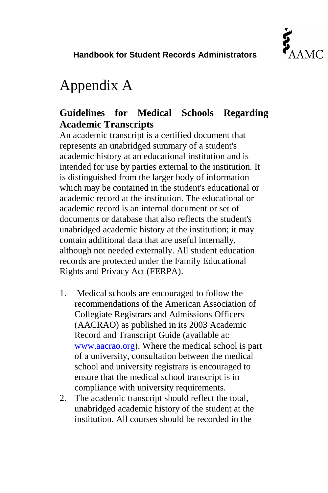

# Appendix A

# **Guidelines for Medical Schools Regarding Academic Transcripts**

An academic transcript is a certified document that represents an unabridged summary of a student's academic history at an educational institution and is intended for use by parties external to the institution. It is distinguished from the larger body of information which may be contained in the student's educational or academic record at the institution. The educational or academic record is an internal document or set of documents or database that also reflects the student's unabridged academic history at the institution; it may contain additional data that are useful internally, although not needed externally. All student education records are protected under the Family Educational Rights and Privacy Act (FERPA).

- 1. Medical schools are encouraged to follow the recommendations of the American Association of Collegiate Registrars and Admissions Officers (AACRAO) as published in its 2003 Academic Record and Transcript Guide (available at: [www.aacrao.org\)](http://www.aacrao.org/). Where the medical school is part of a university, consultation between the medical school and university registrars is encouraged to ensure that the medical school transcript is in compliance with university requirements.
- 2. The academic transcript should reflect the total, unabridged academic history of the student at the institution. All courses should be recorded in the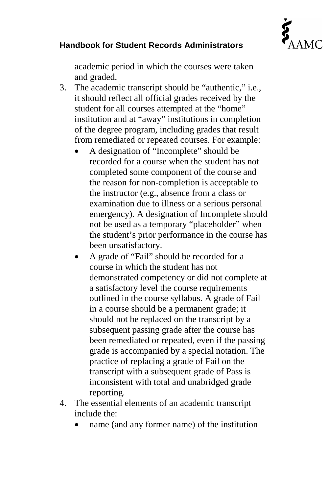

academic period in which the courses were taken and graded.

- 3. The academic transcript should be "authentic," i.e., it should reflect all official grades received by the student for all courses attempted at the "home" institution and at "away" institutions in completion of the degree program, including grades that result from remediated or repeated courses. For example:
	- A designation of "Incomplete" should be recorded for a course when the student has not completed some component of the course and the reason for non-completion is acceptable to the instructor (e.g., absence from a class or examination due to illness or a serious personal emergency). A designation of Incomplete should not be used as a temporary "placeholder" when the student's prior performance in the course has been unsatisfactory.
	- A grade of "Fail" should be recorded for a course in which the student has not demonstrated competency or did not complete at a satisfactory level the course requirements outlined in the course syllabus. A grade of Fail in a course should be a permanent grade; it should not be replaced on the transcript by a subsequent passing grade after the course has been remediated or repeated, even if the passing grade is accompanied by a special notation. The practice of replacing a grade of Fail on the transcript with a subsequent grade of Pass is inconsistent with total and unabridged grade reporting.
- 4. The essential elements of an academic transcript include the:
	- name (and any former name) of the institution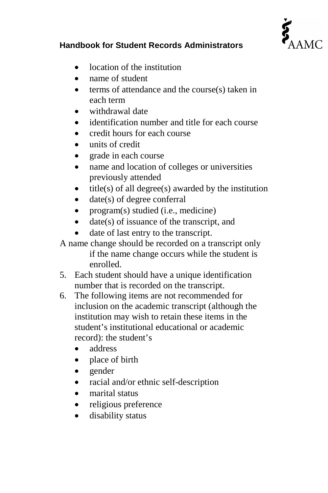

- location of the institution
- name of student
- terms of attendance and the course(s) taken in each term
- withdrawal date
- identification number and title for each course
- credit hours for each course
- units of credit
- grade in each course
- name and location of colleges or universities previously attended
- $title(s)$  of all degree $(s)$  awarded by the institution
- date(s) of degree conferral
- program(s) studied (i.e., medicine)
- date(s) of issuance of the transcript, and
- date of last entry to the transcript.

A name change should be recorded on a transcript only if the name change occurs while the student is enrolled.

- 5. Each student should have a unique identification number that is recorded on the transcript.
- 6. The following items are not recommended for inclusion on the academic transcript (although the institution may wish to retain these items in the student's institutional educational or academic record): the student's
	- address
	- place of birth
	- gender
	- racial and/or ethnic self-description
	- marital status
	- religious preference
	- disability status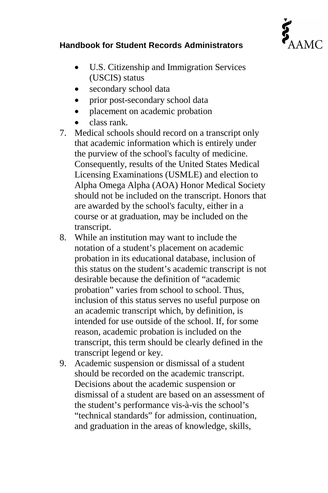

- U.S. Citizenship and Immigration Services (USCIS) status
- secondary school data
- prior post-secondary school data
- placement on academic probation
- class rank.
- 7. Medical schools should record on a transcript only that academic information which is entirely under the purview of the school's faculty of medicine. Consequently, results of the United States Medical Licensing Examinations (USMLE) and election to Alpha Omega Alpha (AOA) Honor Medical Society should not be included on the transcript. Honors that are awarded by the school's faculty, either in a course or at graduation, may be included on the transcript.
- 8. While an institution may want to include the notation of a student's placement on academic probation in its educational database, inclusion of this status on the student's academic transcript is not desirable because the definition of "academic probation" varies from school to school. Thus, inclusion of this status serves no useful purpose on an academic transcript which, by definition, is intended for use outside of the school. If, for some reason, academic probation is included on the transcript, this term should be clearly defined in the transcript legend or key.
- 9. Academic suspension or dismissal of a student should be recorded on the academic transcript. Decisions about the academic suspension or dismissal of a student are based on an assessment of the student's performance vis-à-vis the school's "technical standards" for admission, continuation, and graduation in the areas of knowledge, skills,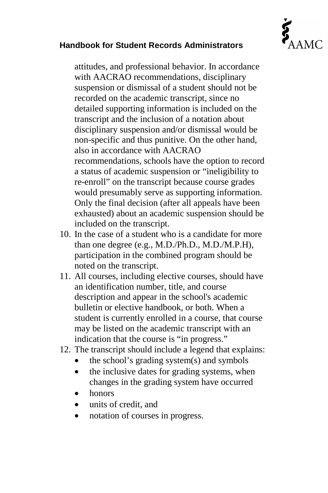

attitudes, and professional behavior. In accordance with AACRAO recommendations, disciplinary suspension or dismissal of a student should not be recorded on the academic transcript, since no detailed supporting information is included on the transcript and the inclusion of a notation about disciplinary suspension and/or dismissal would be non-specific and thus punitive. On the other hand, also in accordance with AACRAO recommendations, schools have the option to record a status of academic suspension or "ineligibility to re-enroll" on the transcript because course grades would presumably serve as supporting information. Only the final decision (after all appeals have been exhausted) about an academic suspension should be included on the transcript.

- 10. In the case of a student who is a candidate for more than one degree (e.g., M.D./Ph.D., M.D./M.P.H), participation in the combined program should be noted on the transcript.
- 11. All courses, including elective courses, should have an identification number, title, and course description and appear in the school's academic bulletin or elective handbook, or both. When a student is currently enrolled in a course, that course may be listed on the academic transcript with an indication that the course is "in progress."
- 12. The transcript should include a legend that explains:
	- the school's grading system $(s)$  and symbols
	- the inclusive dates for grading systems, when changes in the grading system have occurred
	- honors
	- units of credit, and
	- notation of courses in progress.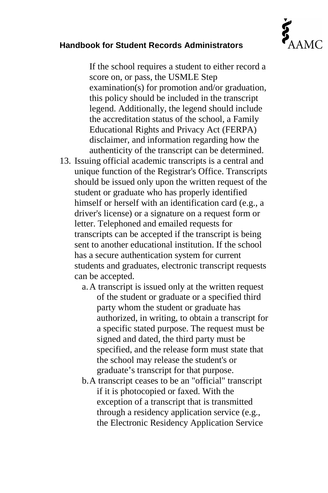

If the school requires a student to either record a score on, or pass, the USMLE Step examination(s) for promotion and/or graduation, this policy should be included in the transcript legend. Additionally, the legend should include the accreditation status of the school, a Family Educational Rights and Privacy Act (FERPA) disclaimer, and information regarding how the authenticity of the transcript can be determined.

- 13. Issuing official academic transcripts is a central and unique function of the Registrar's Office. Transcripts should be issued only upon the written request of the student or graduate who has properly identified himself or herself with an identification card (e.g., a driver's license) or a signature on a request form or letter. Telephoned and emailed requests for transcripts can be accepted if the transcript is being sent to another educational institution. If the school has a secure authentication system for current students and graduates, electronic transcript requests can be accepted.
	- a.A transcript is issued only at the written request of the student or graduate or a specified third party whom the student or graduate has authorized, in writing, to obtain a transcript for a specific stated purpose. The request must be signed and dated, the third party must be specified, and the release form must state that the school may release the student's or graduate's transcript for that purpose.
	- b.A transcript ceases to be an "official" transcript if it is photocopied or faxed. With the exception of a transcript that is transmitted through a residency application service (e.g., the Electronic Residency Application Service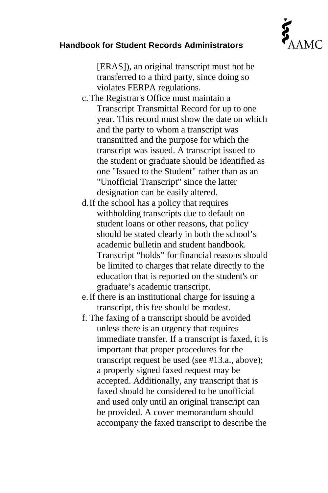

[ERAS]), an original transcript must not be transferred to a third party, since doing so violates FERPA regulations.

- c.The Registrar's Office must maintain a Transcript Transmittal Record for up to one year. This record must show the date on which and the party to whom a transcript was transmitted and the purpose for which the transcript was issued. A transcript issued to the student or graduate should be identified as one "Issued to the Student" rather than as an "Unofficial Transcript" since the latter designation can be easily altered.
- d.If the school has a policy that requires withholding transcripts due to default on student loans or other reasons, that policy should be stated clearly in both the school's academic bulletin and student handbook. Transcript "holds" for financial reasons should be limited to charges that relate directly to the education that is reported on the student's or graduate's academic transcript.
- e.If there is an institutional charge for issuing a transcript, this fee should be modest.
- f. The faxing of a transcript should be avoided unless there is an urgency that requires immediate transfer. If a transcript is faxed, it is important that proper procedures for the transcript request be used (see #13.a., above); a properly signed faxed request may be accepted. Additionally, any transcript that is faxed should be considered to be unofficial and used only until an original transcript can be provided. A cover memorandum should accompany the faxed transcript to describe the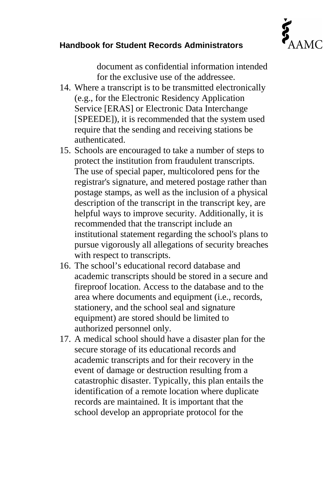

document as confidential information intended for the exclusive use of the addressee.

- 14. Where a transcript is to be transmitted electronically (e.g., for the Electronic Residency Application Service [ERAS] or Electronic Data Interchange [SPEEDE]), it is recommended that the system used require that the sending and receiving stations be authenticated.
- 15. Schools are encouraged to take a number of steps to protect the institution from fraudulent transcripts. The use of special paper, multicolored pens for the registrar's signature, and metered postage rather than postage stamps, as well as the inclusion of a physical description of the transcript in the transcript key, are helpful ways to improve security. Additionally, it is recommended that the transcript include an institutional statement regarding the school's plans to pursue vigorously all allegations of security breaches with respect to transcripts.
- 16. The school's educational record database and academic transcripts should be stored in a secure and fireproof location. Access to the database and to the area where documents and equipment (i.e., records, stationery, and the school seal and signature equipment) are stored should be limited to authorized personnel only.
- 17. A medical school should have a disaster plan for the secure storage of its educational records and academic transcripts and for their recovery in the event of damage or destruction resulting from a catastrophic disaster. Typically, this plan entails the identification of a remote location where duplicate records are maintained. It is important that the school develop an appropriate protocol for the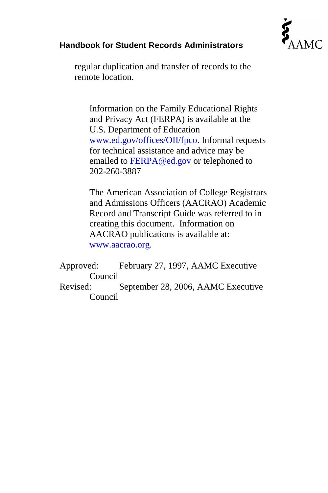

regular duplication and transfer of records to the remote location.

Information on the Family Educational Rights and Privacy Act (FERPA) is available at the U.S. Department of Education [www.ed.gov/offices/OII/fpco.](http://www.ed.gov/offices/OII/fpco) Informal requests for technical assistance and advice may be emailed to [FERPA@ed.gov](mailto:FERPA@ed.gov) or telephoned to 202-260-3887

The American Association of College Registrars and Admissions Officers (AACRAO) Academic Record and Transcript Guide was referred to in creating this document. Information on AACRAO publications is available at: [www.aacrao.org.](http://www.aacrao.org/)

Approved: February 27, 1997, AAMC Executive Council Revised: September 28, 2006, AAMC Executive Council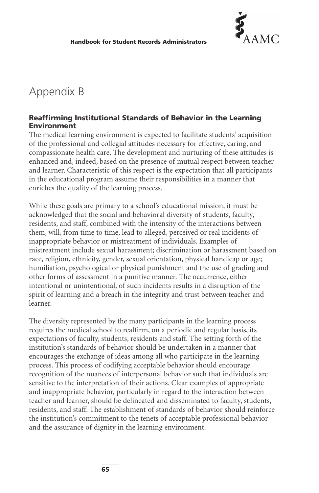

# Appendix B

#### **Reaffirming Institutional Standards of Behavior in the Learning Environment**

The medical learning environment is expected to facilitate students' acquisition of the professional and collegial attitudes necessary for effective, caring, and compassionate health care. The development and nurturing of these attitudes is enhanced and, indeed, based on the presence of mutual respect between teacher and learner. Characteristic of this respect is the expectation that all participants in the educational program assume their responsibilities in a manner that enriches the quality of the learning process.

While these goals are primary to a school's educational mission, it must be acknowledged that the social and behavioral diversity of students, faculty, residents, and staff, combined with the intensity of the interactions between them, will, from time to time, lead to alleged, perceived or real incidents of inappropriate behavior or mistreatment of individuals. Examples of mistreatment include sexual harassment; discrimination or harassment based on race, religion, ethnicity, gender, sexual orientation, physical handicap or age; humiliation, psychological or physical punishment and the use of grading and other forms of assessment in a punitive manner. The occurrence, either intentional or unintentional, of such incidents results in a disruption of the spirit of learning and a breach in the integrity and trust between teacher and learner.

The diversity represented by the many participants in the learning process requires the medical school to reaffirm, on a periodic and regular basis, its expectations of faculty, students, residents and staff. The setting forth of the institution's standards of behavior should be undertaken in a manner that encourages the exchange of ideas among all who participate in the learning process. This process of codifying acceptable behavior should encourage recognition of the nuances of interpersonal behavior such that individuals are sensitive to the interpretation of their actions. Clear examples of appropriate and inappropriate behavior, particularly in regard to the interaction between teacher and learner, should be delineated and disseminated to faculty, students, residents, and staff. The establishment of standards of behavior should reinforce the institution's commitment to the tenets of acceptable professional behavior and the assurance of dignity in the learning environment.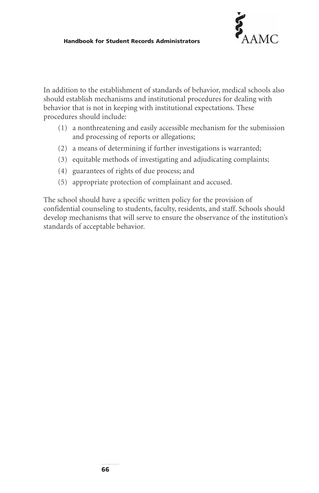

In addition to the establishment of standards of behavior, medical schools also should establish mechanisms and institutional procedures for dealing with behavior that is not in keeping with institutional expectations. These procedures should include:

- (1) a nonthreatening and easily accessible mechanism for the submission and processing of reports or allegations;
- (2) a means of determining if further investigations is warranted;
- (3) equitable methods of investigating and adjudicating complaints;
- (4) guarantees of rights of due process; and
- (5) appropriate protection of complainant and accused.

The school should have a specific written policy for the provision of confidential counseling to students, faculty, residents, and staff. Schools should develop mechanisms that will serve to ensure the observance of the institution's standards of acceptable behavior.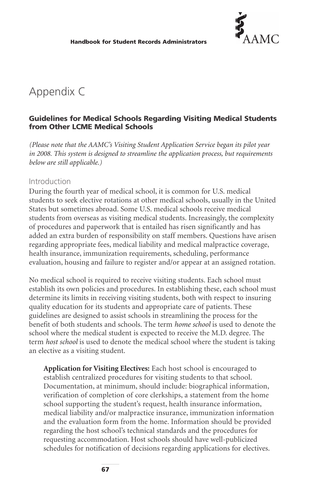

# Appendix C

#### **Guidelines for Medical Schools Regarding Visiting Medical Students from Other LCME Medical Schools**

*(Please note that the AAMC's Visiting Student Application Service began its pilot year in 2008. This system is designed to streamline the application process, but requirements below are still applicable.)*

#### Introduction

During the fourth year of medical school, it is common for U.S. medical students to seek elective rotations at other medical schools, usually in the United States but sometimes abroad. Some U.S. medical schools receive medical students from overseas as visiting medical students. Increasingly, the complexity of procedures and paperwork that is entailed has risen significantly and has added an extra burden of responsibility on staff members. Questions have arisen regarding appropriate fees, medical liability and medical malpractice coverage, health insurance, immunization requirements, scheduling, performance evaluation, housing and failure to register and/or appear at an assigned rotation.

No medical school is required to receive visiting students. Each school must establish its own policies and procedures. In establishing these, each school must determine its limits in receiving visiting students, both with respect to insuring quality education for its students and appropriate care of patients. These guidelines are designed to assist schools in streamlining the process for the benefit of both students and schools. The term *home school* is used to denote the school where the medical student is expected to receive the M.D. degree. The term *host school* is used to denote the medical school where the student is taking an elective as a visiting student.

**Application for Visiting Electives:** Each host school is encouraged to establish centralized procedures for visiting students to that school. Documentation, at minimum, should include: biographical information, verification of completion of core clerkships, a statement from the home school supporting the student's request, health insurance information, medical liability and/or malpractice insurance, immunization information and the evaluation form from the home. Information should be provided regarding the host school's technical standards and the procedures for requesting accommodation. Host schools should have well-publicized schedules for notification of decisions regarding applications for electives.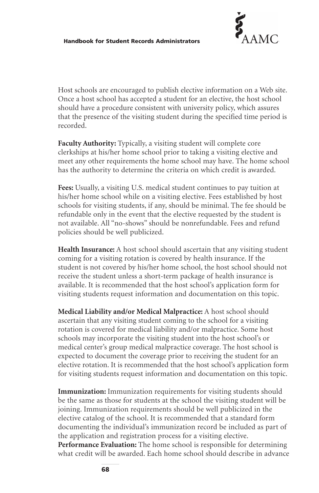

Host schools are encouraged to publish elective information on a Web site. Once a host school has accepted a student for an elective, the host school should have a procedure consistent with university policy, which assures that the presence of the visiting student during the specified time period is recorded.

**Faculty Authority:** Typically, a visiting student will complete core clerkships at his/her home school prior to taking a visiting elective and meet any other requirements the home school may have. The home school has the authority to determine the criteria on which credit is awarded.

**Fees:** Usually, a visiting U.S. medical student continues to pay tuition at his/her home school while on a visiting elective. Fees established by host schools for visiting students, if any, should be minimal. The fee should be refundable only in the event that the elective requested by the student is not available. All "no-shows" should be nonrefundable. Fees and refund policies should be well publicized.

**Health Insurance:** A host school should ascertain that any visiting student coming for a visiting rotation is covered by health insurance. If the student is not covered by his/her home school, the host school should not receive the student unless a short-term package of health insurance is available. It is recommended that the host school's application form for visiting students request information and documentation on this topic.

**Medical Liability and/or Medical Malpractice:** A host school should ascertain that any visiting student coming to the school for a visiting rotation is covered for medical liability and/or malpractice. Some host schools may incorporate the visiting student into the host school's or medical center's group medical malpractice coverage. The host school is expected to document the coverage prior to receiving the student for an elective rotation. It is recommended that the host school's application form for visiting students request information and documentation on this topic.

**Immunization:** Immunization requirements for visiting students should be the same as those for students at the school the visiting student will be joining. Immunization requirements should be well publicized in the elective catalog of the school. It is recommended that a standard form documenting the individual's immunization record be included as part of the application and registration process for a visiting elective. **Performance Evaluation:** The home school is responsible for determining what credit will be awarded. Each home school should describe in advance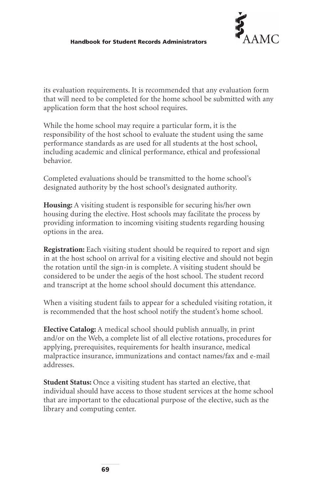

its evaluation requirements. It is recommended that any evaluation form that will need to be completed for the home school be submitted with any application form that the host school requires.

While the home school may require a particular form, it is the responsibility of the host school to evaluate the student using the same performance standards as are used for all students at the host school, including academic and clinical performance, ethical and professional behavior.

Completed evaluations should be transmitted to the home school's designated authority by the host school's designated authority.

**Housing:** A visiting student is responsible for securing his/her own housing during the elective. Host schools may facilitate the process by providing information to incoming visiting students regarding housing options in the area.

**Registration:** Each visiting student should be required to report and sign in at the host school on arrival for a visiting elective and should not begin the rotation until the sign-in is complete. A visiting student should be considered to be under the aegis of the host school. The student record and transcript at the home school should document this attendance.

When a visiting student fails to appear for a scheduled visiting rotation, it is recommended that the host school notify the student's home school.

**Elective Catalog:** A medical school should publish annually, in print and/or on the Web, a complete list of all elective rotations, procedures for applying, prerequisites, requirements for health insurance, medical malpractice insurance, immunizations and contact names/fax and e-mail addresses.

**Student Status:** Once a visiting student has started an elective, that individual should have access to those student services at the home school that are important to the educational purpose of the elective, such as the library and computing center.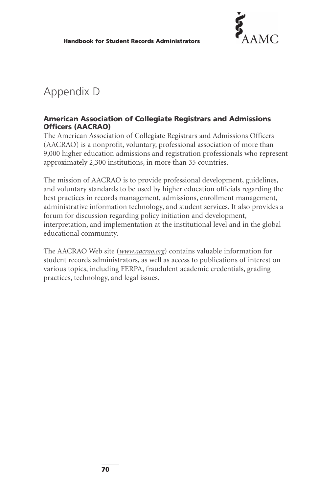

# Appendix D

#### **American Association of Collegiate Registrars and Admissions Officers (AACRAO)**

The American Association of Collegiate Registrars and Admissions Officers (AACRAO) is a nonprofit, voluntary, professional association of more than 9,000 higher education admissions and registration professionals who represent approximately 2,300 institutions, in more than 35 countries.

The mission of AACRAO is to provide professional development, guidelines, and voluntary standards to be used by higher education officials regarding the best practices in records management, admissions, enrollment management, administrative information technology, and student services. It also provides a forum for discussion regarding policy initiation and development, interpretation, and implementation at the institutional level and in the global educational community.

The AACRAO Web site (*<www.aacrao.org>*) contains valuable information for student records administrators, as well as access to publications of interest on various topics, including FERPA, fraudulent academic credentials, grading practices, technology, and legal issues.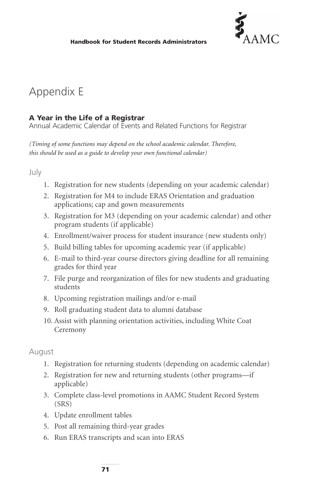

## Appendix E

### **A Year in the Life of a Registrar**

Annual Academic Calendar of Events and Related Functions for Registrar

*(Timing of some functions may depend on the school academic calendar. Therefore, this should be used as a guide to develop your own functional calendar)*

July

- 1. Registration for new students (depending on your academic calendar)
- 2. Registration for M4 to include ERAS Orientation and graduation applications; cap and gown measurements
- 3. Registration for M3 (depending on your academic calendar) and other program students (if applicable)
- 4. Enrollment/waiver process for student insurance (new students only)
- 5. Build billing tables for upcoming academic year (if applicable)
- 6. E-mail to third-year course directors giving deadline for all remaining grades for third year
- 7. File purge and reorganization of files for new students and graduating students
- 8. Upcoming registration mailings and/or e-mail
- 9. Roll graduating student data to alumni database
- 10. Assist with planning orientation activities, including White Coat Ceremony

August

- 1. Registration for returning students (depending on academic calendar)
- 2. Registration for new and returning students (other programs—if applicable)
- 3. Complete class-level promotions in AAMC Student Record System (SRS)
- 4. Update enrollment tables
- 5. Post all remaining third-year grades
- 6. Run ERAS transcripts and scan into ERAS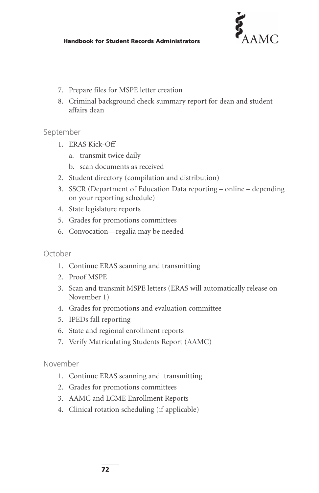

#### **Handbook for Student Records Administrators**

- 7. Prepare files for MSPE letter creation
- 8. Criminal background check summary report for dean and student affairs dean

#### September

- 1. ERAS Kick-Off
	- a. transmit twice daily
	- b. scan documents as received
- 2. Student directory (compilation and distribution)
- 3. SSCR (Department of Education Data reporting online depending on your reporting schedule)
- 4. State legislature reports
- 5. Grades for promotions committees
- 6. Convocation—regalia may be needed

#### October

- 1. Continue ERAS scanning and transmitting
- 2. Proof MSPE
- 3. Scan and transmit MSPE letters (ERAS will automatically release on November 1)
- 4. Grades for promotions and evaluation committee
- 5. IPEDs fall reporting
- 6. State and regional enrollment reports
- 7. Verify Matriculating Students Report (AAMC)

#### November

- 1. Continue ERAS scanning and transmitting
- 2. Grades for promotions committees
- 3. AAMC and LCME Enrollment Reports
- 4. Clinical rotation scheduling (if applicable)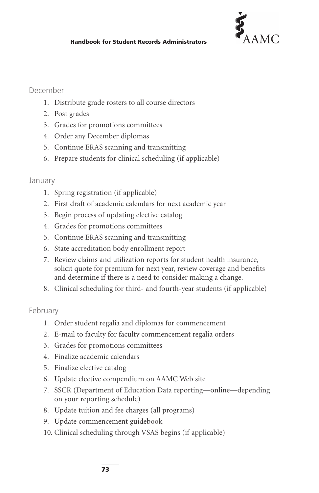

#### December

- 1. Distribute grade rosters to all course directors
- 2. Post grades
- 3. Grades for promotions committees
- 4. Order any December diplomas
- 5. Continue ERAS scanning and transmitting
- 6. Prepare students for clinical scheduling (if applicable)

#### January

- 1. Spring registration (if applicable)
- 2. First draft of academic calendars for next academic year
- 3. Begin process of updating elective catalog
- 4. Grades for promotions committees
- 5. Continue ERAS scanning and transmitting
- 6. State accreditation body enrollment report
- 7. Review claims and utilization reports for student health insurance, solicit quote for premium for next year, review coverage and benefits and determine if there is a need to consider making a change.
- 8. Clinical scheduling for third- and fourth-year students (if applicable)

#### February

- 1. Order student regalia and diplomas for commencement
- 2. E-mail to faculty for faculty commencement regalia orders
- 3. Grades for promotions committees
- 4. Finalize academic calendars
- 5. Finalize elective catalog
- 6. Update elective compendium on AAMC Web site
- 7. SSCR (Department of Education Data reporting—online—depending on your reporting schedule)
- 8. Update tuition and fee charges (all programs)
- 9. Update commencement guidebook
- 10. Clinical scheduling through VSAS begins (if applicable)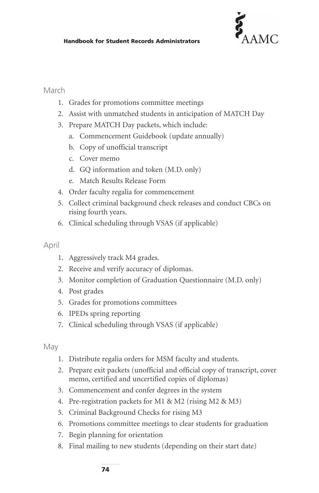

#### March

- 1. Grades for promotions committee meetings
- 2. Assist with unmatched students in anticipation of MATCH Day
- 3. Prepare MATCH Day packets, which include:
	- a. Commencement Guidebook (update annually)
	- b. Copy of unofficial transcript
	- c. Cover memo
	- d. GQ information and token (M.D. only)
	- e. Match Results Release Form
- 4. Order faculty regalia for commencement
- 5. Collect criminal background check releases and conduct CBCs on rising fourth years.
- 6. Clinical scheduling through VSAS (if applicable)

#### April

- 1. Aggressively track M4 grades.
- 2. Receive and verify accuracy of diplomas.
- 3. Monitor completion of Graduation Questionnaire (M.D. only)
- 4. Post grades
- 5. Grades for promotions committees
- 6. IPEDs spring reporting
- 7. Clinical scheduling through VSAS (if applicable)

May

- 1. Distribute regalia orders for MSM faculty and students.
- 2. Prepare exit packets (unofficial and official copy of transcript, cover memo, certified and uncertified copies of diplomas)
- 3. Commencement and confer degrees in the system
- 4. Pre-registration packets for M1 & M2 (rising M2 & M3)
- 5. Criminal Background Checks for rising M3
- 6. Promotions committee meetings to clear students for graduation
- 7. Begin planning for orientation
- 8. Final mailing to new students (depending on their start date)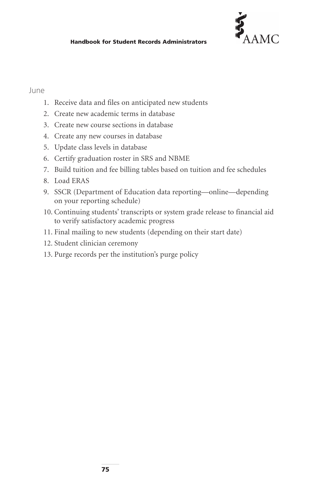

#### June

- 1. Receive data and files on anticipated new students
- 2. Create new academic terms in database
- 3. Create new course sections in database
- 4. Create any new courses in database
- 5. Update class levels in database
- 6. Certify graduation roster in SRS and NBME
- 7. Build tuition and fee billing tables based on tuition and fee schedules
- 8. Load ERAS
- 9. SSCR (Department of Education data reporting—online—depending on your reporting schedule)
- 10. Continuing students' transcripts or system grade release to financial aid to verify satisfactory academic progress
- 11. Final mailing to new students (depending on their start date)
- 12. Student clinician ceremony
- 13. Purge records per the institution's purge policy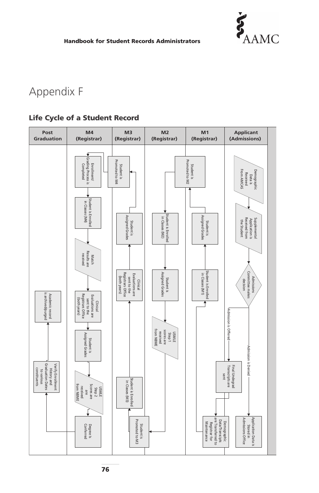

#### **Handbook for Student Records Administrators**

# Appendix F

### **Life Cycle of a Student Record**



**76**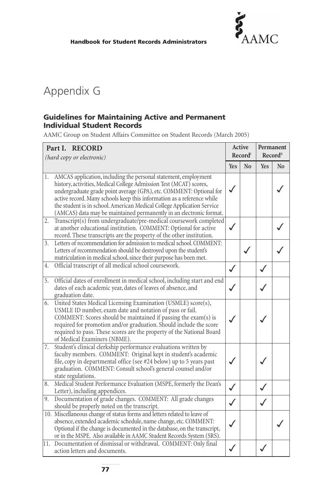

# Appendix G

#### **Guidelines for Maintaining Active and Permanent Individual Student Records**

AAMC Group on Student Affairs Committee on Student Records (March 2005)

| Part I. RECORD<br>(hard copy or electronic)                                                                                                                                                                                                                                                                                                                                                                                                   |              | Active<br>Recordi |            | Permanent<br>Record <sup>ii</sup> |  |
|-----------------------------------------------------------------------------------------------------------------------------------------------------------------------------------------------------------------------------------------------------------------------------------------------------------------------------------------------------------------------------------------------------------------------------------------------|--------------|-------------------|------------|-----------------------------------|--|
|                                                                                                                                                                                                                                                                                                                                                                                                                                               | <b>Yes</b>   | N <sub>0</sub>    | <b>Yes</b> | N <sub>0</sub>                    |  |
| AMCAS application, including the personal statement, employment<br>1.<br>history, activities, Medical College Admission Test (MCAT) scores,<br>undergraduate grade point average (GPA), etc. COMMENT: Optional for<br>active record. Many schools keep this information as a reference while<br>the student is in school. American Medical College Application Service<br>(AMCAS) data may be maintained permanently in an electronic format. | $\checkmark$ |                   |            |                                   |  |
| Transcript(s) from undergraduate/pre-medical coursework completed<br>2.<br>at another educational institution. COMMENT: Optional for active<br>record. These transcripts are the property of the other institution.                                                                                                                                                                                                                           |              |                   |            |                                   |  |
| Letters of recommendation for admission to medical school, COMMENT:<br>3.<br>Letters of recommendation should be destroyed upon the student's<br>matriculation in medical school, since their purpose has been met.                                                                                                                                                                                                                           |              |                   |            |                                   |  |
| Official transcript of all medical school coursework.<br>4.                                                                                                                                                                                                                                                                                                                                                                                   | $\checkmark$ |                   |            |                                   |  |
| Official dates of enrollment in medical school, including start and end<br>5.<br>dates of each academic year, dates of leaves of absence, and<br>graduation date.                                                                                                                                                                                                                                                                             | $\checkmark$ |                   |            |                                   |  |
| 6. United States Medical Licensing Examination (USMLE) score(s),<br>USMLE ID number, exam date and notation of pass or fail.<br>COMMENT: Scores should be maintained if passing the exam(s) is<br>required for promotion and/or graduation. Should include the score<br>required to pass. These scores are the property of the National Board<br>of Medical Examiners (NBME).                                                                 |              |                   |            |                                   |  |
| Student's clinical clerkship performance evaluations written by<br>7.<br>faculty members. COMMENT: Original kept in student's academic<br>file, copy in departmental office (see #24 below) up to 5 years past<br>graduation. COMMENT: Consult school's general counsel and/or<br>state regulations.                                                                                                                                          |              |                   |            |                                   |  |
| Medical Student Performance Evaluation (MSPE, formerly the Dean's<br>8.<br>Letter), including appendices.                                                                                                                                                                                                                                                                                                                                     | $\checkmark$ |                   |            |                                   |  |
| Documentation of grade changes. COMMENT: All grade changes<br>9.<br>should be properly noted on the transcript.                                                                                                                                                                                                                                                                                                                               | ✓            |                   |            |                                   |  |
| 10. Miscellaneous change of status forms and letters related to leave of<br>absence, extended academic schedule, name change, etc. COMMENT:<br>Optional if the change is documented in the database, on the transcript,<br>or in the MSPE. Also available in AAMC Student Records System (SRS).                                                                                                                                               |              |                   |            |                                   |  |
| 11. Documentation of dismissal or withdrawal. COMMENT: Only final<br>action letters and documents.                                                                                                                                                                                                                                                                                                                                            |              |                   |            |                                   |  |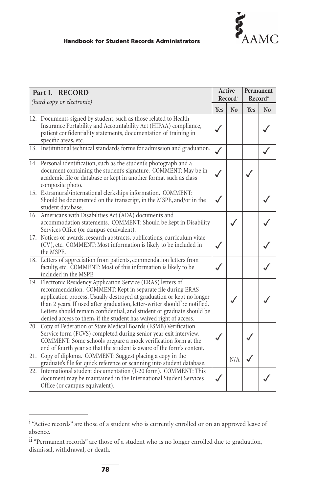

#### **Handbook for Student Records Administrators**

| Part I. RECORD<br>(hard copy or electronic) |                                                                                                                                                                                                                                                                                                                                                                                                                                   | Active<br>Recordi |     | Permanent<br>Record <sup>ii</sup> |    |
|---------------------------------------------|-----------------------------------------------------------------------------------------------------------------------------------------------------------------------------------------------------------------------------------------------------------------------------------------------------------------------------------------------------------------------------------------------------------------------------------|-------------------|-----|-----------------------------------|----|
|                                             |                                                                                                                                                                                                                                                                                                                                                                                                                                   | <b>Yes</b>        | No  | <b>Yes</b>                        | No |
|                                             | 12. Documents signed by student, such as those related to Health<br>Insurance Portability and Accountability Act (HIPAA) compliance,<br>patient confidentiality statements, documentation of training in<br>specific areas, etc.                                                                                                                                                                                                  | $\checkmark$      |     |                                   |    |
|                                             | 13. Institutional technical standards forms for admission and graduation.                                                                                                                                                                                                                                                                                                                                                         | $\checkmark$      |     |                                   |    |
|                                             | 14. Personal identification, such as the student's photograph and a<br>document containing the student's signature. COMMENT: May be in<br>academic file or database or kept in another format such as class<br>composite photo.                                                                                                                                                                                                   |                   |     |                                   |    |
|                                             | 15. Extramural/international clerkships information. COMMENT:<br>Should be documented on the transcript, in the MSPE, and/or in the<br>student database.                                                                                                                                                                                                                                                                          | $\checkmark$      |     |                                   |    |
|                                             | 16. Americans with Disabilities Act (ADA) documents and<br>accommodation statements. COMMENT: Should be kept in Disability<br>Services Office (or campus equivalent).                                                                                                                                                                                                                                                             |                   |     |                                   |    |
|                                             | 17. Notices of awards, research abstracts, publications, curriculum vitae<br>(CV), etc. COMMENT: Most information is likely to be included in<br>the MSPE.                                                                                                                                                                                                                                                                        |                   |     |                                   |    |
|                                             | 18. Letters of appreciation from patients, commendation letters from<br>faculty, etc. COMMENT: Most of this information is likely to be<br>included in the MSPE.                                                                                                                                                                                                                                                                  |                   |     |                                   |    |
|                                             | 19. Electronic Residency Application Service (ERAS) letters of<br>recommendation. COMMENT: Kept in separate file during ERAS<br>application process. Usually destroyed at graduation or kept no longer<br>than 2 years. If used after graduation, letter-writer should be notified.<br>Letters should remain confidential, and student or graduate should be<br>denied access to them, if the student has waived right of access. |                   |     |                                   |    |
|                                             | 20. Copy of Federation of State Medical Boards (FSMB) Verification<br>Service form (FCVS) completed during senior year exit interview.<br>COMMENT: Some schools prepare a mock verification form at the<br>end of fourth year so that the student is aware of the form's content.                                                                                                                                                 |                   |     |                                   |    |
| 21.                                         | Copy of diploma. COMMENT: Suggest placing a copy in the<br>graduate's file for quick reference or scanning into student database.                                                                                                                                                                                                                                                                                                 |                   | N/A |                                   |    |
|                                             | 22. International student documentation (I-20 form). COMMENT: This<br>document may be maintained in the International Student Services<br>Office (or campus equivalent).                                                                                                                                                                                                                                                          |                   |     |                                   |    |

i "Active records" are those of a student who is currently enrolled or on an approved leave of absence.

ii "Permanent records" are those of a student who is no longer enrolled due to graduation, dismissal, withdrawal, or death.